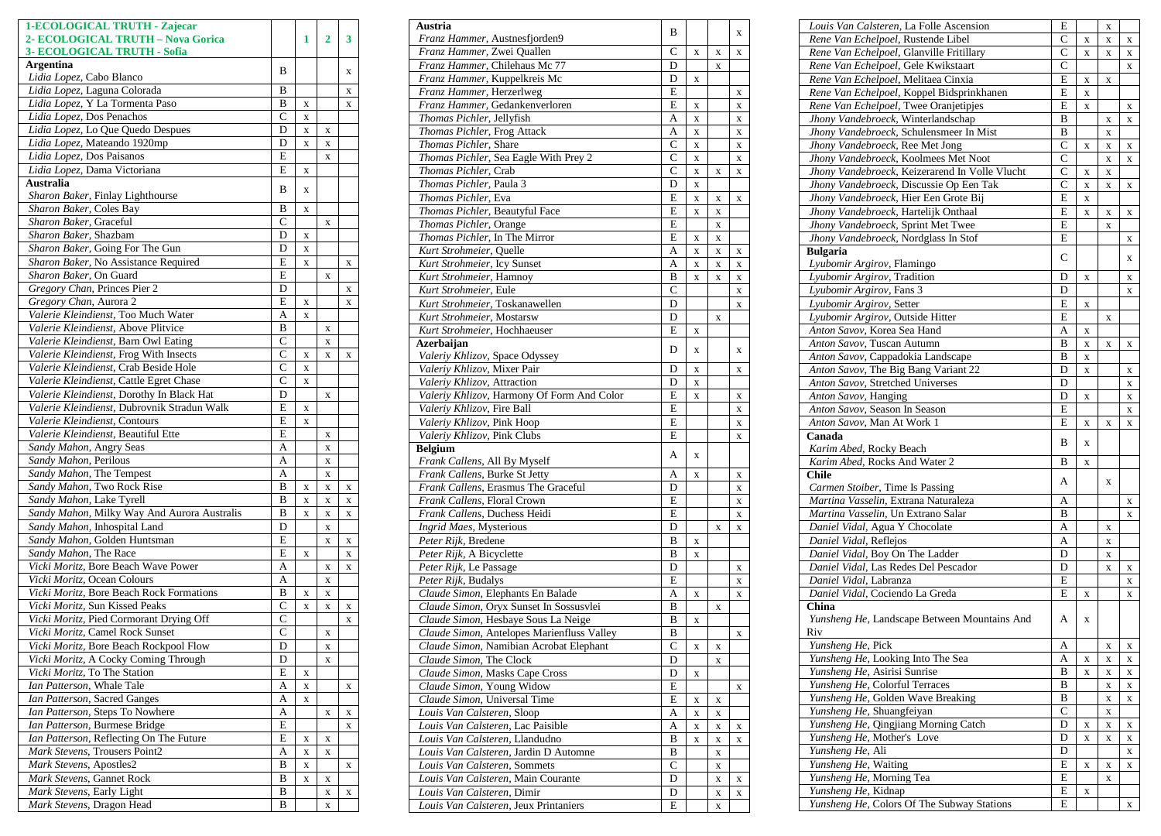| 1-ECOLOGICAL TRUTH - Zajecar<br>2- ECOLOGICAL TRUTH - Nova Gorica        |                  | 1           | 2           | 3           |
|--------------------------------------------------------------------------|------------------|-------------|-------------|-------------|
| 3- ECOLOGICAL TRUTH - Sofia                                              |                  |             |             |             |
| <b>Argentina</b><br>Lidia Lopez, Cabo Blanco                             | B                |             |             | X           |
| Lidia Lopez, Laguna Colorada                                             | B                |             |             | X           |
| Lidia Lopez, Y La Tormenta Paso                                          | B                | X           |             | X           |
| Lidia Lopez, Dos Penachos                                                | $\mathbf C$      | X           |             |             |
| Lidia Lopez, Lo Que Quedo Despues                                        | D                | X           | X           |             |
| Lidia Lopez, Mateando 1920mp                                             | D                | X           | X           |             |
| Lidia Lopez, Dos Paisanos                                                | E                |             | X           |             |
| Lidia Lopez, Dama Victoriana                                             | E                | X           |             |             |
| Australia                                                                | B                | X           |             |             |
| Sharon Baker, Finlay Lighthourse                                         |                  |             |             |             |
| Sharon Baker, Coles Bay                                                  | B                | X           |             |             |
| Sharon Baker, Graceful                                                   | C                |             | X           |             |
| Sharon Baker, Shazbam                                                    | D                | X           |             |             |
| Sharon Baker, Going For The Gun                                          | D                | X           |             |             |
| Sharon Baker, No Assistance Required<br>Sharon Baker, On Guard           | E<br>E           | X           |             | X           |
| Gregory Chan, Princes Pier 2                                             | D                |             | X           | X           |
| Gregory Chan, Aurora 2                                                   | E                | X           |             | X           |
| Valerie Kleindienst, Too Much Water                                      | A                | $\mathbf X$ |             |             |
| Valerie Kleindienst, Above Plitvice                                      | B                |             | X           |             |
| Valerie Kleindienst, Barn Owl Eating                                     | $\overline{C}$   |             | X           |             |
| Valerie Kleindienst, Frog With Insects                                   | $\overline{C}$   | X           | X           | X           |
| Valerie Kleindienst, Crab Beside Hole                                    | $\overline{C}$   | X           |             |             |
| Valerie Kleindienst, Cattle Egret Chase                                  | $\overline{C}$   | X           |             |             |
| Valerie Kleindienst, Dorothy In Black Hat                                | D                |             | X           |             |
| Valerie Kleindienst, Dubrovnik Stradun Walk                              | E                | X           |             |             |
| Valerie Kleindienst, Contours                                            | E                | X           |             |             |
| Valerie Kleindienst, Beautiful Ette                                      | E                |             | X           |             |
| Sandy Mahon, Angry Seas                                                  | A                |             | X           |             |
| Sandy Mahon, Perilous                                                    | A                |             | X           |             |
| Sandy Mahon, The Tempest                                                 | A                |             | X           |             |
| Sandy Mahon, Two Rock Rise                                               | B                | X           | X           | $\mathbf X$ |
| Sandy Mahon, Lake Tyrell<br>Sandy Mahon, Milky Way And Aurora Australis  | B<br>B           | X<br>X      | X<br>X      | X<br>X      |
| Sandy Mahon, Inhospital Land                                             | D                |             | X           |             |
| Sandy Mahon, Golden Huntsman                                             | E                |             | X           | X           |
| Sandy Mahon, The Race                                                    | E                | X           |             | X           |
| Vicki Moritz, Bore Beach Wave Power                                      | A                |             | X           | X           |
| Vicki Moritz, Ocean Colours                                              | A                |             | X           |             |
| Vicki Moritz, Bore Beach Rock Formations                                 | B                | X           | X           |             |
| Vicki Moritz, Sun Kissed Peaks                                           | C                | X           | X           | X           |
| Vicki Moritz, Pied Cormorant Drying Off                                  | $\overline{C}$   |             |             | $\mathbf X$ |
| Vicki Moritz, Camel Rock Sunset                                          | С                |             | X           |             |
| Vicki Moritz, Bore Beach Rockpool Flow                                   | D                |             | X           |             |
| Vicki Moritz, A Cocky Coming Through                                     | D                |             | x           |             |
| Vicki Moritz, To The Station                                             | E                | X           |             |             |
| Ian Patterson, Whale Tale                                                | A                | X           |             | X           |
| Ian Patterson, Sacred Ganges                                             | A                | X           |             |             |
| Ian Patterson, Steps To Nowhere                                          | A                |             | X           | X           |
| Ian Patterson, Burmese Bridge                                            | E                |             |             | X           |
| Ian Patterson, Reflecting On The Future<br>Mark Stevens, Trousers Point2 | E<br>A           | X           | X           |             |
| Mark Stevens, Apostles2                                                  | $\boldsymbol{B}$ | X<br>X      | X           | X           |
| Mark Stevens, Gannet Rock                                                | B                | X           | X           |             |
| Mark Stevens, Early Light                                                | B                |             | X           | X           |
| Mark Stevens, Dragon Head                                                | B                |             | $\mathbf X$ |             |

| Austria                                                                  | B                 |   |   | X           |
|--------------------------------------------------------------------------|-------------------|---|---|-------------|
| Franz Hammer, Austnesfjorden9                                            |                   |   |   |             |
| Franz Hammer, Zwei Quallen<br>Franz Hammer, Chilehaus Mc 77              | $\mathsf{C}$<br>D | X | X | X           |
| Franz Hammer, Kuppelkreis Mc                                             | D                 | X | X |             |
| Franz Hammer, Herzerlweg                                                 | E                 |   |   | X           |
| Franz Hammer, Gedankenverloren                                           | E                 | X |   | X           |
| Thomas Pichler, Jellyfish                                                | A                 | X |   | X           |
| Thomas Pichler, Frog Attack                                              | A                 | X |   | X           |
| Thomas Pichler, Share                                                    | $\mathsf{C}$      | X |   | X           |
| Thomas Pichler, Sea Eagle With Prey 2                                    | C                 | X |   | X           |
| Thomas Pichler, Crab                                                     | C                 | X | X | X           |
| Thomas Pichler, Paula 3                                                  | D                 | X |   |             |
| Thomas Pichler, Eva                                                      | E                 | X | X | X           |
| Thomas Pichler, Beautyful Face                                           | E                 | X | X |             |
| Thomas Pichler, Orange                                                   | E                 |   | X |             |
| Thomas Pichler, In The Mirror                                            | E                 | X | X |             |
| Kurt Strohmeier, Quelle                                                  | A                 | X | X | X           |
| Kurt Strohmeier, Icy Sunset                                              | A                 | X | X | $\mathbf X$ |
| Kurt Strohmeier, Hamnoy                                                  | B                 | X | X | X           |
| Kurt Strohmeier, Eule                                                    | $\overline{C}$    |   |   | $\mathbf X$ |
| Kurt Strohmeier, Toskanawellen                                           | D                 |   |   | $\mathbf X$ |
| Kurt Strohmeier, Mostarsw                                                | D                 |   | X |             |
| Kurt Strohmeier, Hochhaeuser                                             | E                 | X |   |             |
| Azerbaijan                                                               | D                 | X |   | X           |
| Valeriy Khlizov, Space Odyssey                                           |                   |   |   |             |
| Valeriy Khlizov, Mixer Pair                                              | D                 | X |   | X           |
| Valeriy Khlizov, Attraction                                              | D                 | X |   |             |
| Valeriy Khlizov, Harmony Of Form And Color<br>Valeriy Khlizov, Fire Ball | E<br>E            | X |   | X           |
| Valeriy Khlizov, Pink Hoop                                               | E                 |   |   | X           |
|                                                                          | E                 |   |   | X           |
| Valeriy Khlizov, Pink Clubs<br><b>Belgium</b>                            |                   |   |   | X           |
| Frank Callens, All By Myself                                             | А                 | X |   |             |
| Frank Callens, Burke St Jetty                                            | A                 | X |   | x           |
| Frank Callens, Erasmus The Graceful                                      | D                 |   |   | X           |
| Frank Callens, Floral Crown                                              | E                 |   |   | X           |
| Frank Callens, Duchess Heidi                                             | E                 |   |   | $\mathbf X$ |
| Ingrid Maes, Mysterious                                                  | D                 |   | X | X           |
| Peter Rijk, Bredene                                                      | B                 | X |   |             |
| Peter Rijk, A Bicyclette                                                 | B                 | X |   |             |
| Peter Rijk, Le Passage                                                   | D                 |   |   | X           |
| Peter Rijk, Budalys                                                      | E                 |   |   | X           |
| Claude Simon, Elephants En Balade                                        | A                 | X |   | X           |
| Claude Simon, Oryx Sunset In Sossusvlei                                  | B                 |   | X |             |
| Claude Simon, Hesbaye Sous La Neige                                      | B                 | X |   |             |
| Claude Simon, Antelopes Marienfluss Valley                               | B                 |   |   | x           |
| Claude Simon, Namibian Acrobat Elephant                                  | $\mathsf{C}$      | X | X |             |
| Claude Simon, The Clock                                                  | D                 |   | X |             |
| Claude Simon, Masks Cape Cross                                           | D                 | X |   |             |
| Claude Simon, Young Widow                                                | E                 |   |   | x           |
| Claude Simon, Universal Time                                             | E                 | X | X |             |
| Louis Van Calsteren, Sloop                                               | А                 | X | X |             |
| Louis Van Calsteren, Lac Paisible                                        | A                 | X | X | x           |
| Louis Van Calsteren, Llandudno                                           | В                 | X | X | x           |
| Louis Van Calsteren, Jardin D Automne                                    | B                 |   | X |             |
| Louis Van Calsteren, Sommets                                             | C                 |   | X |             |
| Louis Van Calsteren, Main Courante                                       | D                 |   | X | X           |
| Louis Van Calsteren, Dimir                                               | D                 |   | X | $\mathbf X$ |
| Louis Van Calsteren, Jeux Printaniers                                    | E                 |   | X |             |

| Louis Van Calsteren, La Folle Ascension             | E              |             | X           |             |
|-----------------------------------------------------|----------------|-------------|-------------|-------------|
| Rene Van Echelpoel, Rustende Libel                  | C              | X           | X           | X           |
| Rene Van Echelpoel, Glanville Fritillary            | $\overline{C}$ | X           | X           | X           |
| Rene Van Echelpoel, Gele Kwikstaart                 | $\overline{C}$ |             |             | X           |
| Rene Van Echelpoel, Melitaea Cinxia                 | E              | X           | X           |             |
| Rene Van Echelpoel, Koppel Bidsprinkhanen           | E              | X           |             |             |
| Rene Van Echelpoel, Twee Oranjetipjes               | E              | $\mathbf X$ |             | X           |
| Jhony Vandebroeck, Winterlandschap                  | B              |             | X           | X           |
| Jhony Vandebroeck, Schulensmeer In Mist             | $\overline{B}$ |             | $\mathbf X$ |             |
| Jhony Vandebroeck, Ree Met Jong                     | $\mathsf{C}$   |             |             |             |
|                                                     | $\mathsf{C}$   | X           | $\mathbf X$ | X           |
| Jhony Vandebroeck, Koolmees Met Noot                |                |             | X           | X           |
| Jhony Vandebroeck, Keizerarend In Volle Vlucht      | $\overline{C}$ | X           | X           |             |
| Jhony Vandebroeck, Discussie Op Een Tak             | C              | X           | X           | X           |
| Jhony Vandebroeck, Hier Een Grote Bij               | E              | $\mathbf X$ |             |             |
| Jhony Vandebroeck, Hartelijk Onthaal                | E              | X           | X           | X           |
| Jhony Vandebroeck, Sprint Met Twee                  | E              |             | X           |             |
| Jhony Vandebroeck, Nordglass In Stof                | E              |             |             | $\mathbf X$ |
| <b>Bulgaria</b>                                     | C              |             |             |             |
| Lyubomir Argirov, Flamingo                          |                |             |             | X           |
| Lyubomir Argirov, Tradition                         | D              | X           |             | X           |
| Lyubomir Argirov, Fans 3                            | D              |             |             | X           |
| Lyubomir Argirov, Setter                            | E              | X           |             |             |
| Lyubomir Argirov, Outside Hitter                    | E              |             | X           |             |
| Anton Savov, Korea Sea Hand                         | A              | X           |             |             |
| Anton Savov, Tuscan Autumn                          | B              | $\mathbf X$ | X           | X           |
| Anton Savov, Cappadokia Landscape                   | B              | $\mathbf X$ |             |             |
|                                                     | D              |             |             |             |
| Anton Savov, The Big Bang Variant 22                |                | $\mathbf x$ |             | X           |
| Anton Savov, Stretched Universes                    | D              |             |             | X           |
| Anton Savov, Hanging                                | D              | X           |             | X           |
| Anton Savov, Season In Season                       | E              |             |             | X           |
| Anton Savov, Man At Work 1                          | E              | X           | X           | X           |
| Canada                                              | B              | X           |             |             |
| Karim Abed, Rocky Beach                             |                |             |             |             |
| Karim Abed, Rocks And Water 2                       | B              | X           |             |             |
| <b>Chile</b>                                        | A              |             | X           |             |
| Carmen Stoiber, Time Is Passing                     |                |             |             |             |
| Martina Vasselin, Extrana Naturaleza                | А              |             |             | X           |
| Martina Vasselin, Un Extrano Salar                  | B              |             |             | X           |
| Daniel Vidal, Agua Y Chocolate                      | A              |             | X           |             |
| Daniel Vidal, Reflejos                              | $\overline{A}$ |             | $\mathbf X$ |             |
| Daniel Vidal, Boy On The Ladder                     | D              |             | X           |             |
| Daniel Vidal, Las Redes Del Pescador                | D              |             | X           | X           |
| Daniel Vidal, Labranza                              | E              |             |             | X           |
| Daniel Vidal, Cociendo La Greda                     | E              | X           |             | X           |
| China                                               |                |             |             |             |
|                                                     | A              | $\mathbf X$ |             |             |
| Yunsheng He, Landscape Between Mountains And<br>Riv |                |             |             |             |
|                                                     |                |             |             |             |
| Yunsheng He, Pick                                   | A              |             | X           | X           |
| Yunsheng He, Looking Into The Sea                   | A              | $\mathbf X$ | X           | X           |
| Yunsheng He, Asirisi Sunrise                        | B              | $\mathbf X$ | $\mathbf X$ | X           |
| Yunsheng He, Colorful Terraces                      | B              |             | X           | X           |
| Yunsheng He, Golden Wave Breaking                   | B              |             | $\mathbf X$ | $\mathbf X$ |
| Yunsheng He, Shuangfeiyan                           | C              |             | X           |             |
| Yunsheng He, Qingjiang Morning Catch                | D              | $\mathbf X$ | X           | X           |
| Yunsheng He, Mother's Love                          | D              | X           | X           | X           |
| Yunsheng He, Ali                                    | D              |             |             | X           |
| Yunsheng He, Waiting                                | E              | $\mathbf X$ | X           | X           |
| Yunsheng He, Morning Tea                            | E              |             | X           |             |
| Yunsheng He, Kidnap                                 | E              |             |             |             |
| Yunsheng He, Colors Of The Subway Stations          | E              | X           |             |             |
|                                                     |                |             |             | $\mathbf X$ |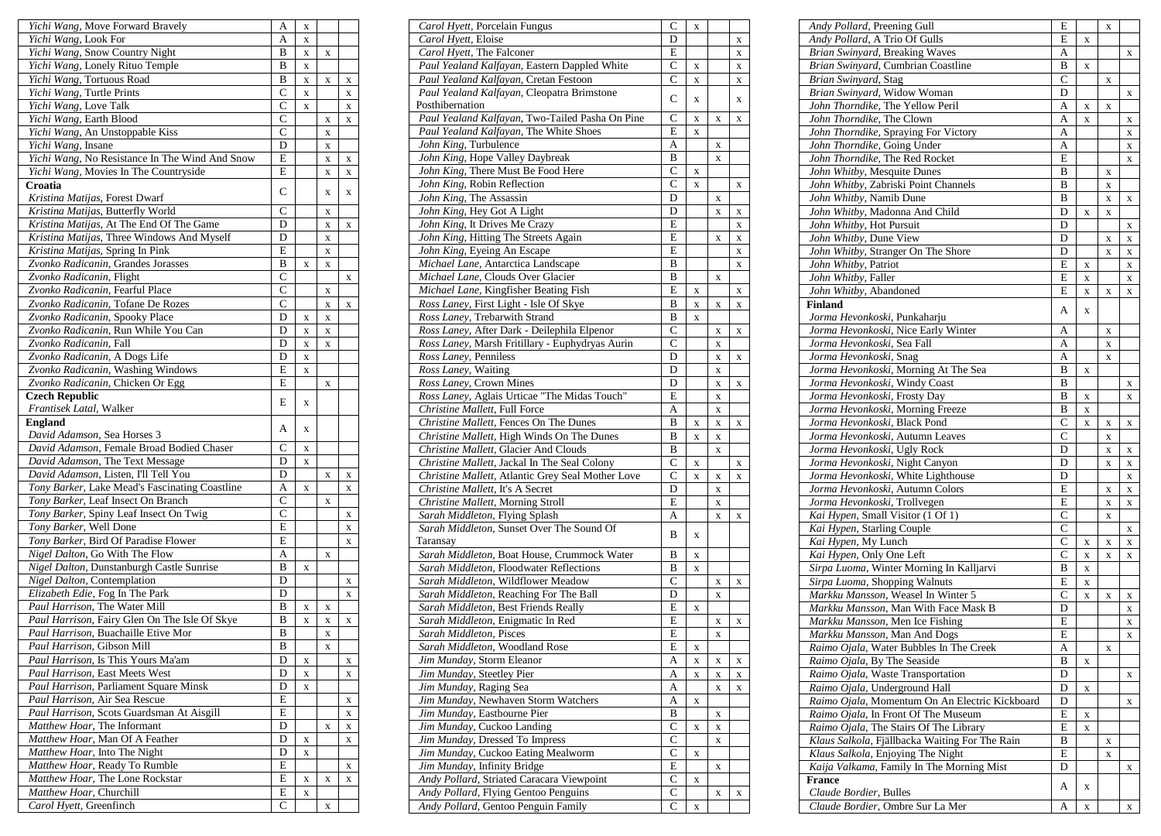| Yichi Wang, Move Forward Bravely                                         | A                  | X           |             |   |
|--------------------------------------------------------------------------|--------------------|-------------|-------------|---|
| Yichi Wang, Look For                                                     | A                  | $\mathbf X$ |             |   |
| Yichi Wang, Snow Country Night                                           | B                  | X           | X           |   |
| Yichi Wang, Lonely Rituo Temple                                          | B                  | X           |             |   |
| Yichi Wang, Tortuous Road                                                | B                  | $\mathbf X$ | X           | X |
| Yichi Wang, Turtle Prints                                                | $\overline{C}$     | X           |             | X |
| Yichi Wang, Love Talk                                                    | $\overline{C}$     | X           |             | X |
| Yichi Wang, Earth Blood                                                  | $\overline{C}$     |             | X           | X |
| Yichi Wang, An Unstoppable Kiss                                          | $\overline{\rm c}$ |             | X           |   |
| Yichi Wang, Insane                                                       | D                  |             | X           |   |
| Yichi Wang, No Resistance In The Wind And Snow                           | Ε                  |             | $\mathbf X$ | X |
| Yichi Wang, Movies In The Countryside                                    | E                  |             | X           | X |
| Croatia                                                                  |                    |             |             |   |
| Kristina Matijas, Forest Dwarf                                           | $\mathsf{C}$       |             | X           | X |
| Kristina Matijas, Butterfly World                                        | $\overline{\rm c}$ |             | X           |   |
| Kristina Matijas, At The End Of The Game                                 | D                  |             | X           | X |
| Kristina Matijas, Three Windows And Myself                               | D                  |             | X           |   |
| Kristina Matijas, Spring In Pink                                         | E                  |             | X           |   |
| Zvonko Radicanin, Grandes Jorasses                                       | B                  | X           | X           |   |
| Zvonko Radicanin, Flight                                                 | $\overline{C}$     |             |             | X |
| Zvonko Radicanin, Fearful Place                                          | $\mathbf C$        |             | X           |   |
| Zvonko Radicanin, Tofane De Rozes                                        | $\mathbf C$        |             |             |   |
| Zvonko Radicanin, Spooky Place                                           | D                  |             | X           | X |
| Zvonko Radicanin, Run While You Can                                      | D                  | X           | $\mathbf X$ |   |
| Zvonko Radicanin, Fall                                                   | D                  | X           | X           |   |
|                                                                          | D                  | X           | X           |   |
| Zvonko Radicanin, A Dogs Life                                            | E                  | X           |             |   |
| Zvonko Radicanin, Washing Windows                                        | E                  | X           |             |   |
| Zvonko Radicanin, Chicken Or Egg                                         |                    |             | X           |   |
| <b>Czech Republic</b>                                                    | E                  | X           |             |   |
| Frantisek Latal, Walker                                                  |                    |             |             |   |
| <b>England</b>                                                           | А                  | X           |             |   |
| David Adamson, Sea Horses 3<br>David Adamson, Female Broad Bodied Chaser | $\overline{C}$     |             |             |   |
|                                                                          | D                  | $\mathbf X$ |             |   |
| David Adamson, The Text Message<br>David Adamson, Listen, I'll Tell You  | D                  | X           |             |   |
| Tony Barker, Lake Mead's Fascinating Coastline                           | A                  |             | X           | X |
|                                                                          | $\overline{C}$     | X           |             | X |
| Tony Barker, Leaf Insect On Branch                                       | $\overline{C}$     |             | X           |   |
| Tony Barker, Spiny Leaf Insect On Twig                                   |                    |             |             | X |
| Tony Barker, Well Done                                                   | E                  |             |             | X |
| Tony Barker, Bird Of Paradise Flower                                     | E                  |             |             | X |
| Nigel Dalton, Go With The Flow                                           | A                  |             | X           |   |
| Nigel Dalton, Dunstanburgh Castle Sunrise                                | B                  | X           |             |   |
| Nigel Dalton, Contemplation                                              | D                  |             |             | X |
| Elizabeth Edie, Fog In The Park                                          | D                  |             |             | X |
| Paul Harrison, The Water Mill                                            | B                  | X           | x           |   |
| Paul Harrison, Fairy Glen On The Isle Of Skye                            | B                  | X           | X           | X |
| <i>Paul Harrison</i> , Buachaille Etive Mor                              | В                  |             | X           |   |
| Paul Harrison, Gibson Mill                                               | B                  |             | X           |   |
| Paul Harrison, Is This Yours Ma'am                                       | D                  | X           |             | X |
| Paul Harrison, East Meets West                                           | D                  | X           |             | X |
| Paul Harrison, Parliament Square Minsk                                   | D                  | $\mathbf X$ |             |   |
| Paul Harrison, Air Sea Rescue                                            | E                  |             |             | X |
| Paul Harrison, Scots Guardsman At Aisgill                                | E                  |             |             | X |
| Matthew Hoar, The Informant                                              | D                  |             | X           | X |
| Matthew Hoar, Man Of A Feather                                           | D                  | X           |             | X |
| Matthew Hoar, Into The Night                                             | D                  | X           |             |   |
| Matthew Hoar, Ready To Rumble                                            | Ε                  |             |             | X |
| Matthew Hoar, The Lone Rockstar                                          | E                  | X           | X           | X |
| Matthew Hoar, Churchill                                                  | E                  | X           |             |   |
| Carol Hyett, Greenfinch                                                  | C                  |             | X           |   |

| Carol Hyett, Porcelain Fungus                                 | C              | X |             |             |
|---------------------------------------------------------------|----------------|---|-------------|-------------|
| Carol Hyett, Eloise                                           | D              |   |             | X           |
| Carol Hyett, The Falconer                                     | E              |   |             | X           |
| Paul Yealand Kalfayan, Eastern Dappled White                  | C              | X |             | X           |
| Paul Yealand Kalfayan, Cretan Festoon                         | C              | X |             | X           |
| Paul Yealand Kalfayan, Cleopatra Brimstone<br>Posthibernation | C              | X |             | X           |
| Paul Yealand Kalfayan, Two-Tailed Pasha On Pine               | С              | X | X           | x           |
| Paul Yealand Kalfayan, The White Shoes                        | E              | X |             |             |
| John King, Turbulence                                         | A              |   |             |             |
| John King, Hope Valley Daybreak                               | B              |   | X           |             |
| John King, There Must Be Food Here                            | C              |   | X           |             |
| John King, Robin Reflection                                   |                | X |             |             |
|                                                               | C              | X |             | X           |
| John King, The Assassin                                       | D              |   | X           |             |
| John King, Hey Got A Light                                    | D              |   | X           | X           |
| John King, It Drives Me Crazy                                 | E              |   |             | X           |
| John King, Hitting The Streets Again                          | E              |   | X           | X           |
| John King, Eyeing An Escape                                   | E              |   |             | $\mathbf X$ |
| Michael Lane, Antarctica Landscape                            | B              |   |             | $\mathbf X$ |
| Michael Lane, Clouds Over Glacier                             | B              |   | X           |             |
| Michael Lane, Kingfisher Beating Fish                         | E              | X |             | X           |
| Ross Laney, First Light - Isle Of Skye                        | B              | X | X           | X           |
| Ross Laney, Trebarwith Strand                                 | B              | X |             |             |
| Ross Laney, After Dark - Deilephila Elpenor                   | C              |   | X           | X           |
| Ross Laney, Marsh Fritillary - Euphydryas Aurin               | C              |   | X           |             |
| Ross Laney, Penniless                                         | D              |   | X           | X           |
| Ross Laney, Waiting                                           | D              |   | X           |             |
| Ross Laney, Crown Mines                                       | D              |   | X           | x           |
| Ross Laney, Aglais Urticae "The Midas Touch"                  | E              |   | X           |             |
| Christine Mallett, Full Force                                 | A              |   | X           |             |
| Christine Mallett, Fences On The Dunes                        | B              | X | X           | X           |
| Christine Mallett, High Winds On The Dunes                    | B              | X | X           |             |
| Christine Mallett, Glacier And Clouds                         | B              |   | X           |             |
| Christine Mallett, Jackal In The Seal Colony                  | $\overline{C}$ | X |             | X           |
| Christine Mallett, Atlantic Grey Seal Mother Love             | $\overline{C}$ | X | X           | X           |
| Christine Mallett, It's A Secret                              | D              |   | X           |             |
| Christine Mallett, Morning Stroll                             | E              |   | X           |             |
| Sarah Middleton, Flying Splash                                | А              |   | X           |             |
| Sarah Middleton, Sunset Over The Sound Of                     |                |   |             | X           |
| Taransay                                                      | B              | X |             |             |
| Sarah Middleton, Boat House, Crummock Water                   | B              | X |             |             |
| Sarah Middleton, Floodwater Reflections                       | B              | X |             |             |
| Sarah Middleton, Wildflower Meadow                            | $\overline{C}$ |   | X           | X           |
| Sarah Middleton, Reaching For The Ball                        | D              |   | X           |             |
| Sarah Middleton, Best Friends Really                          | E              | X |             |             |
| Sarah Middleton, Enigmatic In Red                             | E              |   | X           | x           |
| Sarah Middleton, Pisces                                       | E              |   | X           |             |
| Sarah Middleton, Woodland Rose                                | E              | X |             |             |
| Jim Munday, Storm Eleanor                                     | A              | X | X           | x           |
| Jim Munday, Steetley Pier                                     | А              | X | X           | x           |
| Jim Munday, Raging Sea                                        | А              |   | X           | X           |
| Jim Munday, Newhaven Storm Watchers                           | A              | X |             |             |
| Jim Munday, Eastbourne Pier                                   | B              |   | X           |             |
| Jim Munday, Cuckoo Landing                                    | $\mathsf{C}$   | X | $\mathbf X$ |             |
| Jim Munday, Dressed To Impress                                | C              |   | X           |             |
| Jim Munday, Cuckoo Eating Mealworm                            | C              | X |             |             |
| Jim Munday, Infinity Bridge                                   | E              |   | X           |             |
| Andy Pollard, Striated Caracara Viewpoint                     | $\mathsf{C}$   | X |             |             |
| Andy Pollard, Flying Gentoo Penguins                          | $\mathsf{C}$   |   | X           | X           |
| Andy Pollard, Gentoo Penguin Family                           | C              | X |             |             |
|                                                               |                |   |             |             |

| Andy Pollard, Preening Gull                                                              | E              |             | X |        |
|------------------------------------------------------------------------------------------|----------------|-------------|---|--------|
| Andy Pollard, A Trio Of Gulls                                                            | E              | X           |   |        |
| Brian Swinyard, Breaking Waves                                                           | А              |             |   | X      |
| Brian Swinyard, Cumbrian Coastline                                                       | B              | X           |   |        |
| Brian Swinyard, Stag                                                                     | $\overline{C}$ |             | X |        |
| Brian Swinyard, Widow Woman                                                              | D              |             |   | X      |
| John Thorndike, The Yellow Peril                                                         | А              | X           | X |        |
| John Thorndike, The Clown                                                                | A              | X           |   | X      |
| John Thorndike, Spraying For Victory                                                     | A              |             |   | X      |
| John Thorndike, Going Under                                                              | А              |             |   | X      |
| John Thorndike, The Red Rocket                                                           | E              |             |   | X      |
| John Whitby, Mesquite Dunes                                                              | В              |             | X |        |
| John Whitby, Zabriski Point Channels                                                     | B              |             | X |        |
| John Whitby, Namib Dune                                                                  | B              |             | X | X      |
| John Whitby, Madonna And Child                                                           | D              | X           | X |        |
| John Whitby, Hot Pursuit                                                                 | D              |             |   | X      |
| John Whitby, Dune View                                                                   | D              |             | X | X      |
| John Whitby, Stranger On The Shore                                                       | D              |             | X | X      |
| John Whitby, Patriot                                                                     | E              | X           |   | X      |
| John Whitby, Faller                                                                      | Ε              | X           |   | X      |
| John Whitby, Abandoned                                                                   | E              | X           | X | X      |
| <b>Finland</b>                                                                           |                |             |   |        |
| <i>Jorma Hevonkoski, P</i> unkaharju                                                     | А              | X           |   |        |
| Jorma Hevonkoski, Nice Early Winter                                                      | А              |             | X |        |
| Jorma Hevonkoski, Sea Fall                                                               | А              |             | X |        |
| Jorma Hevonkoski, Snag                                                                   | A              |             | X |        |
| Jorma Hevonkoski, Morning At The Sea                                                     | B              | X           |   |        |
| Jorma Hevonkoski, Windy Coast                                                            | B              |             |   | X      |
| Jorma Hevonkoski, Frosty Day                                                             | B              | X           |   | X      |
| Jorma Hevonkoski, Morning Freeze                                                         | B              | X           |   |        |
| Jorma Hevonkoski, Black Pond                                                             | C              | X           | X | X      |
| Jorma Hevonkoski, Autumn Leaves                                                          | $\mathsf{C}$   |             | X |        |
| Jorma Hevonkoski, Ugly Rock                                                              | D              |             | X | X      |
| Jorma Hevonkoski, Night Canyon                                                           | D              |             | X | X      |
| Jorma Hevonkoski, White Lighthouse                                                       | D              |             |   | X      |
| Jorma Hevonkoski, Autumn Colors                                                          | E              |             | X | X      |
| Jorma Hevonkoski, Trollvegen                                                             | E              |             | X | X      |
| Kai Hypen, Small Visitor (1 Of 1)                                                        | C              |             | X |        |
| Kai Hypen, Starling Couple                                                               | $\overline{C}$ |             |   | X      |
| Kai Hypen, My Lunch                                                                      | $\mathsf{C}$   | X           | X | X      |
| Kai Hypen, Only One Left                                                                 | $\mathsf{C}$   | X           | X | X      |
| Sirpa Luoma, Winter Morning In Kalljarvi                                                 | B              | X           |   |        |
| Sirpa Luoma, Shopping Walnuts                                                            | E              | $\mathbf X$ |   |        |
| Markku Mansson, Weasel In Winter 5                                                       | $\overline{C}$ | X           | X | X      |
| Markku Mansson, Man With Face Mask B                                                     | D              |             |   | X      |
| Markku Mansson, Men Ice Fishing                                                          | Ε              |             |   |        |
| Markku Mansson, Man And Dogs                                                             | $\overline{E}$ |             |   | x<br>X |
| Raimo Ojala, Water Bubbles In The Creek                                                  | А              |             |   |        |
| Raimo Ojala, By The Seaside                                                              | B              |             | X |        |
| Raimo Ojala, Waste Transportation                                                        | D              | X           |   |        |
| Raimo Ojala, Underground Hall                                                            | D              |             |   | X      |
| Raimo Ojala, Momentum On An Electric Kickboard                                           |                | X           |   |        |
| Raimo Ojala, In Front Of The Museum                                                      | D              |             |   | X      |
|                                                                                          | E              | X           |   |        |
| Raimo Ojala, The Stairs Of The Library<br>Klaus Salkola, Fjällbacka Waiting For The Rain | E<br>B         | X           |   |        |
|                                                                                          |                |             | X |        |
| Klaus Salkola, Enjoying The Night                                                        | E              |             | X |        |
| Kaija Valkama, Family In The Morning Mist                                                | D              |             |   | X      |
| <b>France</b><br>Claude Bordier, Bulles                                                  | A              | X           |   |        |
|                                                                                          |                |             |   |        |
| Claude Bordier, Ombre Sur La Mer                                                         | А              | X           |   | X      |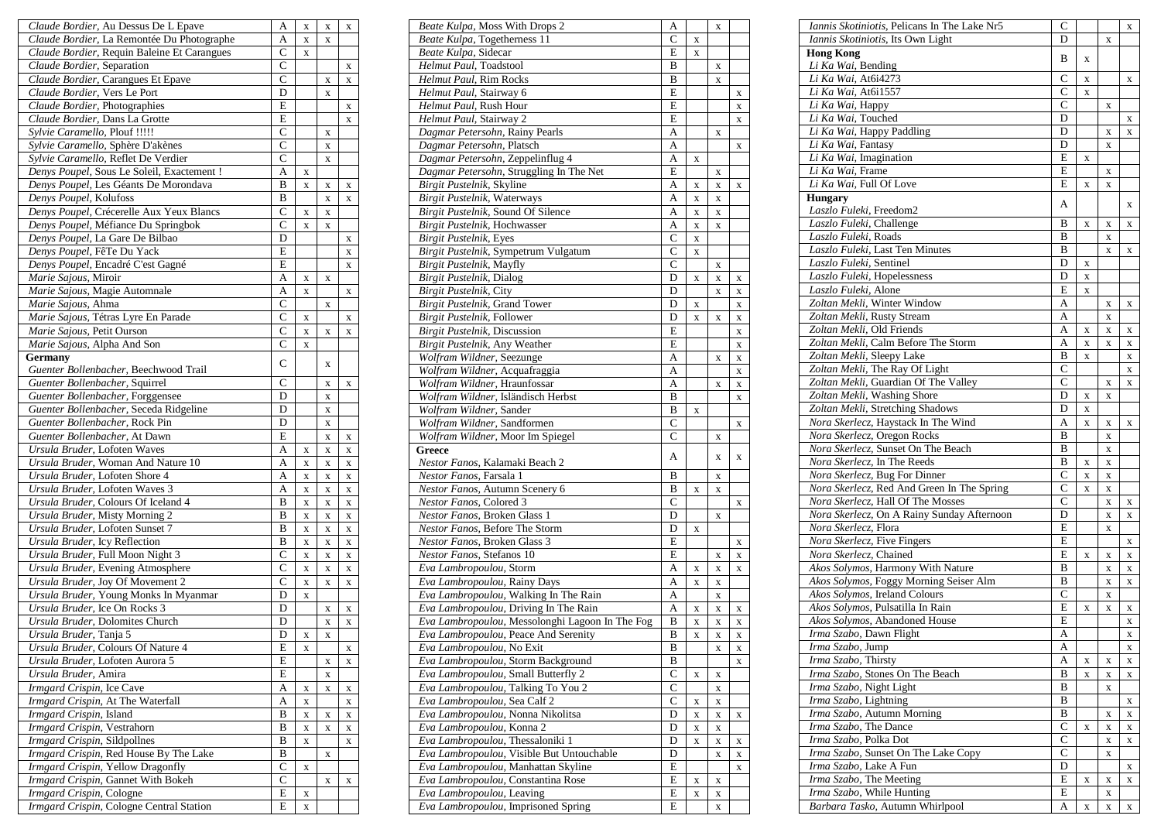| Claude Bordier, Au Dessus De L Epave                                     | A              | X           | X           | X           |
|--------------------------------------------------------------------------|----------------|-------------|-------------|-------------|
| Claude Bordier, La Remontée Du Photographe                               | A              | X           | X           |             |
| Claude Bordier, Requin Baleine Et Carangues                              | C              | X           |             |             |
| Claude Bordier, Separation                                               | $\overline{C}$ |             |             | X           |
| Claude Bordier, Carangues Et Epave                                       | $\overline{C}$ |             | X           | X           |
| Claude Bordier, Vers Le Port                                             | D              |             | X           |             |
| Claude Bordier, Photographies                                            | E              |             |             | X           |
| Claude Bordier, Dans La Grotte                                           | $\overline{E}$ |             |             | $\mathbf X$ |
| Sylvie Caramello, Plouf !!!!!                                            | $\overline{C}$ |             | X           |             |
| Sylvie Caramello, Sphère D'akènes                                        | $\mathsf{C}$   |             | X           |             |
| Sylvie Caramello, Reflet De Verdier                                      | $\mathbf C$    |             | X           |             |
| Denys Poupel, Sous Le Soleil, Exactement !                               | A              | X           |             |             |
| Denys Poupel, Les Géants De Morondava                                    | B              | X           | X           | X           |
| Denys Poupel, Kolufoss                                                   | B              |             | X           | X           |
| Denys Poupel, Crécerelle Aux Yeux Blancs                                 | $\overline{C}$ | X           | $\mathbf X$ |             |
| Denys Poupel, Méfiance Du Springbok                                      | $\mathsf{C}$   | X           | X           |             |
| Denys Poupel, La Gare De Bilbao                                          | D              |             |             | X           |
| Denys Poupel, FêTe Du Yack                                               | E              |             |             | X           |
| Denys Poupel, Encadré C'est Gagné                                        | E              |             |             | X           |
| Marie Sajous, Miroir                                                     | A              | X           | X           |             |
| Marie Sajous, Magie Automnale                                            | A              | X           |             | X           |
| Marie Sajous, Ahma                                                       | $\overline{C}$ |             | X           |             |
| Marie Sajous, Tétras Lyre En Parade                                      | $\overline{C}$ | X           |             | X           |
| Marie Sajous, Petit Ourson                                               | $\overline{C}$ | X           | X           | X           |
| Marie Sajous, Alpha And Son                                              | $\mathsf{C}$   | X           |             |             |
| Germany                                                                  | C              |             | X           |             |
| Guenter Bollenbacher, Beechwood Trail                                    | $\overline{C}$ |             |             |             |
| Guenter Bollenbacher, Squirrel                                           |                |             | X           | X           |
| Guenter Bollenbacher, Forggensee                                         | D<br>D         |             | X           |             |
| Guenter Bollenbacher, Seceda Ridgeline<br>Guenter Bollenbacher, Rock Pin | D              |             | X           |             |
| Guenter Bollenbacher, At Dawn                                            | E              |             | X           |             |
| Ursula Bruder, Lofoten Waves                                             | A              |             | X           | X           |
| Ursula Bruder, Woman And Nature 10                                       | A              | X           | X<br>X      | X           |
| Ursula Bruder, Lofoten Shore 4                                           | A              | X<br>X      | X           | X<br>X      |
| Ursula Bruder, Lofoten Waves 3                                           | A              | X           | $\mathbf X$ | X           |
| Ursula Bruder, Colours Of Iceland 4                                      | B              | X           | X           | X           |
| Ursula Bruder, Misty Morning 2                                           | B              | X           | X           | X           |
| Ursula Bruder, Lofoten Sunset 7                                          | B              | X           | X           | $\mathbf X$ |
| Ursula Bruder, Icy Reflection                                            | B              | X           | X           | X           |
| Ursula Bruder, Full Moon Night 3                                         | $\overline{C}$ | X           | $\mathbf X$ | X           |
| Ursula Bruder, Evening Atmosphere                                        | $\mathsf{C}$   | X           | X           | x           |
| Ursula Bruder, Joy Of Movement 2                                         | $\overline{C}$ | X           | X           | X           |
| Ursula Bruder, Young Monks In Myanmar                                    | D              | $\mathbf X$ |             |             |
| Ursula Bruder, Ice On Rocks 3                                            | D              |             | X           | X           |
| Ursula Bruder, Dolomites Church                                          | D              |             | X           | X           |
| Ursula Bruder, Tanja 5                                                   | D              | X           | X           |             |
| Ursula Bruder, Colours Of Nature 4                                       | E              | X           |             | X           |
| Ursula Bruder, Lofoten Aurora 5                                          | E              |             | X           | X           |
| Ursula Bruder, Amira                                                     | Ε              |             | X           |             |
| Irmgard Crispin, Ice Cave                                                | A              | X           | X           | X           |
| Irmgard Crispin, At The Waterfall                                        | A              | X           |             | X           |
| Irmgard Crispin, Island                                                  | B              | X           | X           | X           |
| Irmgard Crispin, Vestrahorn                                              | B              | X           | $\mathbf X$ | X           |
| Irmgard Crispin, Sildpollnes                                             | B              | X           |             | X           |
| Irmgard Crispin, Red House By The Lake                                   | B              |             | X           |             |
| Irmgard Crispin, Yellow Dragonfly                                        | $\overline{C}$ | X           |             |             |
| Irmgard Crispin, Gannet With Bokeh                                       | C              |             | X           | X           |
| Irmgard Crispin, Cologne                                                 | E              | X           |             |             |
| Irmgard Crispin, Cologne Central Station                                 | E              | $\mathbf X$ |             |             |

| Beate Kulpa, Moss With Drops 2                                   | A              |   | X      |             |
|------------------------------------------------------------------|----------------|---|--------|-------------|
| Beate Kulpa, Togetherness 11                                     | C              | X |        |             |
| Beate Kulpa, Sidecar                                             | E              | X |        |             |
| Helmut Paul, Toadstool                                           | B              |   | X      |             |
| Helmut Paul, Rim Rocks                                           | B              |   | X      |             |
| Helmut Paul, Stairway 6                                          | E              |   |        | X           |
| Helmut Paul, Rush Hour                                           | E              |   |        | X           |
| Helmut Paul, Stairway 2                                          | E              |   |        |             |
|                                                                  |                |   |        | X           |
| Dagmar Petersohn, Rainy Pearls                                   | A              |   | X      |             |
| Dagmar Petersohn, Platsch                                        | A              |   |        | X           |
| Dagmar Petersohn, Zeppelinflug 4                                 | A              | X |        |             |
| Dagmar Petersohn, Struggling In The Net                          | E              |   | X      |             |
| Birgit Pustelnik, Skyline                                        | А              | X | X      | X           |
| Birgit Pustelnik, Waterways                                      | A              | X | X      |             |
| Birgit Pustelnik, Sound Of Silence                               | A              | X | X      |             |
| Birgit Pustelnik, Hochwasser                                     | A              | X | X      |             |
| Birgit Pustelnik, Eyes                                           | $\overline{C}$ | X |        |             |
| Birgit Pustelnik, Sympetrum Vulgatum                             | С              | X |        |             |
| Birgit Pustelnik, Mayfly                                         | C              |   | X      |             |
| Birgit Pustelnik, Dialog                                         | D              |   |        |             |
|                                                                  |                | X | X      | X           |
| Birgit Pustelnik, City                                           | D              |   | X      | X           |
| Birgit Pustelnik, Grand Tower                                    | D              | X |        | X           |
| Birgit Pustelnik, Follower                                       | D              | X | X      | X           |
| Birgit Pustelnik, Discussion                                     | E              |   |        | X           |
| Birgit Pustelnik, Any Weather                                    | E              |   |        | $\mathbf X$ |
| Wolfram Wildner, Seezunge                                        | A              |   | X      | X           |
| Wolfram Wildner, Acquafraggia                                    | A              |   |        | X           |
| Wolfram Wildner, Hraunfossar                                     | A              |   | X      | X           |
| Wolfram Wildner, Isländisch Herbst                               | B              |   |        | X           |
| Wolfram Wildner, Sander                                          | B              | X |        |             |
| Wolfram Wildner, Sandformen                                      | C              |   |        | X           |
| Wolfram Wildner, Moor Im Spiegel                                 | $\mathcal{C}$  |   | X      |             |
| Greece                                                           |                |   |        |             |
|                                                                  | А              |   | X      | X           |
| Nestor Fanos, Kalamaki Beach 2                                   |                |   |        |             |
| Nestor Fanos, Farsala 1                                          | B              |   | X      |             |
| Nestor Fanos, Autumn Scenery 6                                   | B              | X | X      |             |
| Nestor Fanos, Colored 3                                          | $\overline{C}$ |   |        | X           |
| Nestor Fanos, Broken Glass 1                                     | D              |   | X      |             |
| Nestor Fanos, Before The Storm                                   | D              | X |        |             |
| Nestor Fanos, Broken Glass 3                                     | E              |   |        | X           |
| Nestor Fanos, Stefanos 10                                        | E              |   | X      | X           |
| Eva Lambropoulou, Storm                                          | A              | X | X      | X           |
| Eva Lambropoulou, Rainy Days                                     | A              | X | X      |             |
| Eva Lambropoulou, Walking In The Rain                            | Α              |   | X      |             |
| Eva Lambropoulou, Driving In The Rain                            | A              | X | X      | X           |
| Eva Lambropoulou, Messolonghi Lagoon In The Fog                  | B              | X | X      |             |
|                                                                  | B              |   |        | X           |
| <i>Eva Lambropoulou</i> , Peace And Serenity                     |                | x | x      | x           |
| Eva Lambropoulou, No Exit                                        | B              |   | X      | X           |
| Eva Lambropoulou, Storm Background                               | В              |   |        | X           |
| Eva Lambropoulou, Small Butterfly 2                              | $\mathcal{C}$  | X | X      |             |
| Eva Lambropoulou, Talking To You 2                               | $\overline{C}$ |   | X      |             |
| Eva Lambropoulou, Sea Calf 2                                     | C              | X | X      |             |
| Eva Lambropoulou, Nonna Nikolitsa                                | D              | X | X      | X           |
| Eva Lambropoulou, Konna 2                                        | D              | X | X      |             |
| Eva Lambropoulou, Thessaloniki 1                                 | D              | X | X      | X           |
| Eva Lambropoulou, Visible But Untouchable                        | D              |   | X      | X           |
| Eva Lambropoulou, Manhattan Skyline                              | E              |   |        | X           |
| Eva Lambropoulou, Constantina Rose                               | E              | X | X      |             |
|                                                                  |                |   |        |             |
|                                                                  |                |   |        |             |
| Eva Lambropoulou, Leaving<br>Eva Lambropoulou, Imprisoned Spring | E<br>E         | X | X<br>X |             |

| Iannis Skotiniotis, Pelicans In The Lake Nr5 | C                  |             |   | $\mathbf X$ |
|----------------------------------------------|--------------------|-------------|---|-------------|
| Iannis Skotiniotis, Its Own Light            | D                  |             | X |             |
| <b>Hong Kong</b>                             |                    |             |   |             |
| Li Ka Wai, Bending                           | B                  | X           |   |             |
| <i>Li Ka Wai, At6i4273</i>                   | C                  | X           |   | X           |
| Li Ka Wai, At6i1557                          | $\overline{C}$     | $\mathbf x$ |   |             |
| Li Ka Wai, Happy                             | C                  |             | X |             |
| Li Ka Wai, Touched                           | D                  |             |   | X           |
| Li Ka Wai, Happy Paddling                    | D                  |             | X | X           |
| Li Ka Wai, Fantasy                           | D                  |             | X |             |
| Li Ka Wai, Imagination                       | E                  | X           |   |             |
| Li Ka Wai, Frame                             | E                  |             |   |             |
| Li Ka Wai, Full Of Love                      | E                  |             | X |             |
|                                              |                    | X           | X |             |
| <b>Hungary</b>                               | A                  |             |   | X           |
| Laszlo Fuleki, Freedom2                      |                    |             |   |             |
| Laszlo Fuleki, Challenge                     | B                  | X           | X | X           |
| Laszlo Fuleki, Roads                         | B                  |             | X |             |
| Laszlo Fuleki, Last Ten Minutes              | B                  |             | X | X           |
| Laszlo Fuleki, Sentinel                      | D                  | X           |   |             |
| Laszlo Fuleki, Hopelessness                  | D                  | X           |   |             |
| Laszlo Fuleki, Alone                         | E                  | X           |   |             |
| Zoltan Mekli, Winter Window                  | A                  |             | X | X           |
| Zoltan Mekli, Rusty Stream                   | А                  |             | X |             |
| Zoltan Mekli, Old Friends                    | A                  | X           | X | X           |
| Zoltan Mekli, Calm Before The Storm          | A                  | X           | X | X           |
| Zoltan Mekli, Sleepy Lake                    | B                  | X           |   | X           |
| Zoltan Mekli, The Ray Of Light               | C                  |             |   | X           |
| Zoltan Mekli, Guardian Of The Valley         | $\overline{C}$     |             | X | X           |
| Zoltan Mekli, Washing Shore                  | D                  | X           | X |             |
| Zoltan Mekli, Stretching Shadows             | D                  | X           |   |             |
| Nora Skerlecz, Haystack In The Wind          | A                  | X           |   |             |
| Nora Skerlecz, Oregon Rocks                  | B                  |             | X | X           |
|                                              |                    |             | X |             |
| Nora Skerlecz, Sunset On The Beach           | B                  |             | X |             |
| Nora Skerlecz, In The Reeds                  | B                  | X           | X |             |
| Nora Skerlecz, Bug For Dinner                | C                  | X           | X |             |
| Nora Skerlecz, Red And Green In The Spring   | $\overline{\rm c}$ | X           | X |             |
| Nora Skerlecz, Hall Of The Mosses            | C                  |             | X | X           |
| Nora Skerlecz, On A Rainy Sunday Afternoon   | D                  |             | X | X           |
| Nora Skerlecz, Flora                         | E                  |             | X |             |
| Nora Skerlecz, Five Fingers                  | E                  |             |   | X           |
| Nora Skerlecz, Chained                       | E                  | X           | X | X           |
| Akos Solymos, Harmony With Nature            | B                  |             | X | X           |
| Akos Solymos, Foggy Morning Seiser Alm       | B                  |             | X | X           |
| Akos Solymos, Ireland Colours                | $\overline{C}$     |             | X |             |
| Akos Solymos, Pulsatilla In Rain             | E                  | X           | X | X           |
| Akos Solymos, Abandoned House                | E                  |             |   | X           |
| Irma Szabo, Dawn Flight                      | A                  |             |   | $\mathbf X$ |
| Irma Szabo, Jump                             | A                  |             |   | X           |
| Irma Szabo, Thirsty                          | A                  | X           | X | X           |
| Irma Szabo, Stones On The Beach              | B                  |             |   |             |
|                                              |                    | $\mathbf x$ | X | $\mathbf X$ |
| Irma Szabo, Night Light                      | В                  |             | X |             |
| Irma Szabo, Lightning                        | В                  |             |   | X           |
| Irma Szabo, Autumn Morning                   | B                  |             | X | X           |
| Irma Szabo, The Dance                        | С                  | X           | X | X           |
| Irma Szabo, Polka Dot                        | C                  |             | X | X           |
| Irma Szabo, Sunset On The Lake Copy          | С                  |             | X |             |
| Irma Szabo, Lake A Fun                       | D                  |             |   | X           |
| Irma Szabo, The Meeting                      | E                  | X           | X | X           |
| Irma Szabo, While Hunting                    | Е                  |             | X |             |
| Barbara Tasko, Autumn Whirlpool              | A                  | X           | X | X           |
|                                              |                    |             |   |             |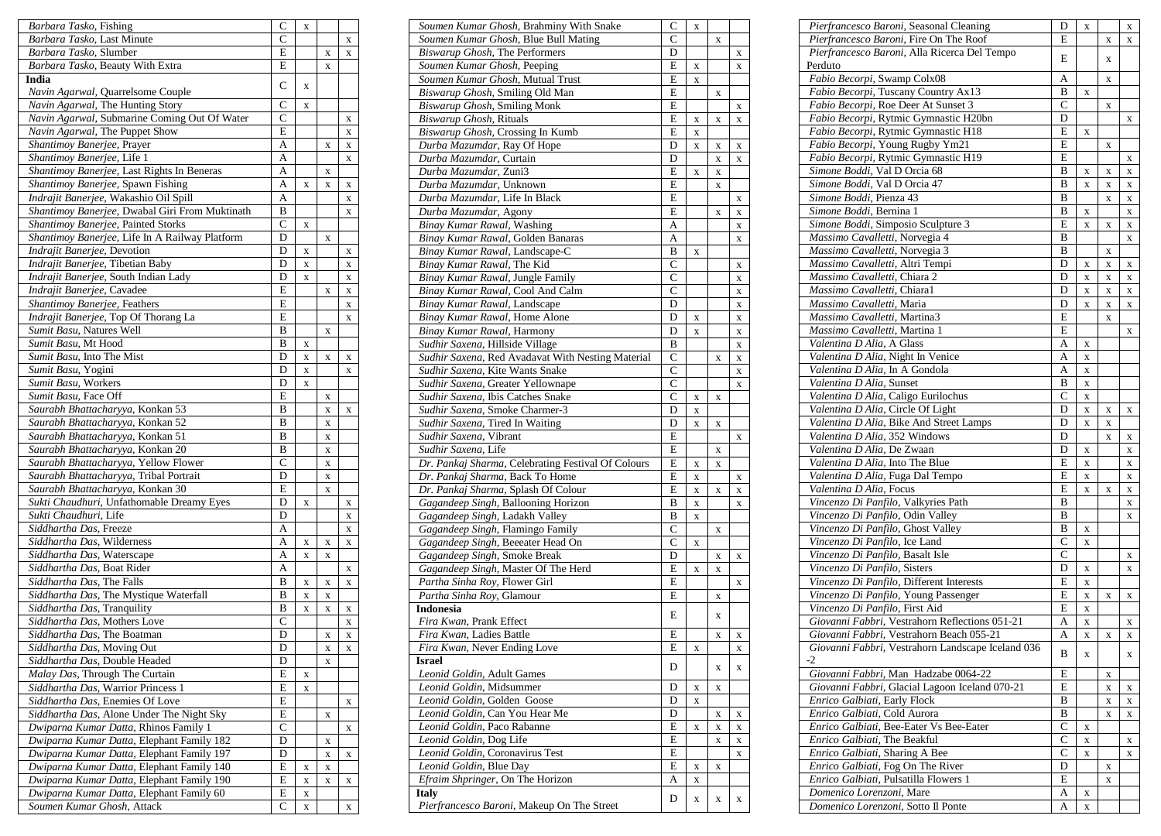| Barbara Tasko, Fishing                                  | C              | X           |   |                           |
|---------------------------------------------------------|----------------|-------------|---|---------------------------|
| Barbara Tasko, Last Minute                              | $\overline{C}$ |             |   | X                         |
| Barbara Tasko, Slumber                                  | E              |             | X | X                         |
| Barbara Tasko, Beauty With Extra                        | E              |             | X |                           |
| India                                                   | C              | X           |   |                           |
| Navin Agarwal, Quarrelsome Couple                       |                |             |   |                           |
| Navin Agarwal, The Hunting Story                        | $\overline{C}$ | X           |   |                           |
| Navin Agarwal, Submarine Coming Out Of Water            | C              |             |   | X                         |
| Navin Agarwal, The Puppet Show                          | E              |             |   | X                         |
| Shantimoy Banerjee, Prayer                              | A              |             | X | X                         |
| Shantimoy Banerjee, Life 1                              | A              |             |   | X                         |
| Shantimoy Banerjee, Last Rights In Beneras              | A              |             | X |                           |
| Shantimoy Banerjee, Spawn Fishing                       | A              | X           | X | X                         |
| Indrajit Banerjee, Wakashio Oil Spill                   | A              |             |   | X                         |
| Shantimoy Banerjee, Dwabal Giri From Muktinath          | B              |             |   | X                         |
| Shantimoy Banerjee, Painted Storks                      | С              | X           |   |                           |
| Shantimoy Banerjee, Life In A Railway Platform          | D              |             | X |                           |
| Indrajit Banerjee, Devotion                             | D              | X           |   | X                         |
| Indrajit Banerjee, Tibetian Baby                        | D              | X           |   | X                         |
| Indrajit Banerjee, South Indian Lady                    | D              | X           |   | X                         |
| Indrajit Banerjee, Cavadee                              | E              |             | X | X                         |
| Shantimoy Banerjee, Feathers                            | E              |             |   | X                         |
| Indrajit Banerjee, Top Of Thorang La                    | E              |             |   | X                         |
| Sumit Basu, Natures Well                                | B              |             | X |                           |
| Sumit Basu, Mt Hood                                     | B              | X           |   |                           |
| Sumit Basu, Into The Mist                               | D              | X           | X | X                         |
| Sumit Basu, Yogini                                      | D              | X           |   | X                         |
| Sumit Basu, Workers                                     | D              | X           |   |                           |
| Sumit Basu, Face Off                                    | E              |             | X |                           |
| Saurabh Bhattacharyya, Konkan 53                        | B              |             | X | X                         |
| Saurabh Bhattacharyya, Konkan 52                        | B              |             | X |                           |
| Saurabh Bhattacharyya, Konkan 51                        | B              |             | X |                           |
| Saurabh Bhattacharyya, Konkan 20                        | B              |             | X |                           |
| Saurabh Bhattacharyya, Yellow Flower                    | $\mathbf C$    |             | X |                           |
| Saurabh Bhattacharyya, Tribal Portrait                  | D              |             | X |                           |
| Saurabh Bhattacharyya, Konkan 30                        | E              |             | X |                           |
| Sukti Chaudhuri, Unfathomable Dreamy Eyes               | D              | X           |   | X                         |
| Sukti Chaudhuri, Life<br>Siddhartha Das, Freeze         | D<br>A         |             |   | X                         |
| Siddhartha Das, Wilderness                              | А              |             |   | X                         |
|                                                         | A              | X           | X | X                         |
| Siddhartha Das, Waterscape                              |                | X           | X |                           |
| Siddhartha Das, Boat Rider<br>Siddhartha Das, The Falls | A<br>B         |             |   | X                         |
| Siddhartha Das, The Mystique Waterfall                  | B              | X<br>X      | X | X                         |
| Siddhartha Das, Tranquility                             | B              | X           | X |                           |
| Siddhartha Das, Mothers Love                            | $\overline{C}$ |             | X | X                         |
| Siddhartha Das, The Boatman                             | D              |             | X | X<br>X                    |
| Siddhartha Das, Moving Out                              | D              |             | X | X                         |
| Siddhartha Das, Double Headed                           | D              |             | X |                           |
| Malay Das, Through The Curtain                          | Е              | X           |   |                           |
| Siddhartha Das, Warrior Princess 1                      | E              | X           |   |                           |
| Siddhartha Das, Enemies Of Love                         | E              |             |   | X                         |
| Siddhartha Das, Alone Under The Night Sky               | E              |             | X |                           |
| Dwiparna Kumar Datta, Rhinos Family 1                   | C              |             |   | $\boldsymbol{\mathrm{X}}$ |
| Dwiparna Kumar Datta, Elephant Family 182               | D              |             | X |                           |
| Dwiparna Kumar Datta, Elephant Family 197               | D              |             | X | X                         |
| Dwiparna Kumar Datta, Elephant Family 140               | E              | $\mathbf X$ | X |                           |
| Dwiparna Kumar Datta, Elephant Family 190               | E              | X           | X | X                         |
| Dwiparna Kumar Datta, Elephant Family 60                | E              | X           |   |                           |
| Soumen Kumar Ghosh, Attack                              | C              | X           |   | $\bf{X}$                  |
|                                                         |                |             |   |                           |

| Soumen Kumar Ghosh, Brahminy With Snake            | C                  | X           |   |   |
|----------------------------------------------------|--------------------|-------------|---|---|
| Soumen Kumar Ghosh, Blue Bull Mating               | Ċ                  |             | X |   |
| Biswarup Ghosh, The Performers                     | D                  |             |   | X |
| Soumen Kumar Ghosh, Peeping                        | E                  | X           |   | X |
| Soumen Kumar Ghosh, Mutual Trust                   | E                  | X           |   |   |
| Biswarup Ghosh, Smiling Old Man                    | E                  |             | X |   |
| Biswarup Ghosh, Smiling Monk                       | E                  |             |   | X |
| Biswarup Ghosh, Rituals                            | Ē                  | X           | X | X |
| Biswarup Ghosh, Crossing In Kumb                   | Ē                  | X           |   |   |
| Durba Mazumdar, Ray Of Hope                        | D                  | X           | X | X |
| Durba Mazumdar, Curtain                            | D                  |             | X | X |
| Durba Mazumdar, Zuni3                              | E                  | X           | X |   |
| Durba Mazumdar, Unknown                            | E                  |             | X |   |
| Durba Mazumdar, Life In Black                      | E                  |             |   | X |
| Durba Mazumdar, Agony                              | E                  |             | X | X |
| Binay Kumar Rawal, Washing                         | A                  |             |   | X |
| Binay Kumar Rawal, Golden Banaras                  | A                  |             |   | X |
| Binay Kumar Rawal, Landscape-C                     | B                  | X           |   |   |
| Binay Kumar Rawal, The Kid                         | $\mathsf{C}$       |             |   | X |
| Binay Kumar Rawal, Jungle Family                   | $\overline{C}$     |             |   | X |
| Binay Kumar Rawal, Cool And Calm                   | $\overline{C}$     |             |   | X |
| Binay Kumar Rawal, Landscape                       | D                  |             |   | X |
| Binay Kumar Rawal, Home Alone                      | D                  | X           |   | X |
| Binay Kumar Rawal, Harmony                         | D                  | X           |   | X |
| Sudhir Saxena, Hillside Village                    | B                  |             |   | X |
| Sudhir Saxena, Red Avadavat With Nesting Material  | $\overline{C}$     |             | X | X |
| Sudhir Saxena, Kite Wants Snake                    | $\mathsf{C}$       |             |   | X |
| Sudhir Saxena, Greater Yellownape                  | $\overline{\rm c}$ |             |   | X |
| Sudhir Saxena, Ibis Catches Snake                  | C                  | X           | X |   |
| Sudhir Saxena, Smoke Charmer-3                     | D                  | X           |   |   |
| Sudhir Saxena, Tired In Waiting                    | D                  | X           | X |   |
| Sudhir Saxena, Vibrant                             | E                  |             |   | X |
| Sudhir Saxena, Life                                | E                  |             | X |   |
| Dr. Pankaj Sharma, Celebrating Festival Of Colours | E                  | X           | X |   |
| Dr. Pankaj Sharma, Back To Home                    | E                  | X           |   | X |
| Dr. Pankaj Sharma, Splash Of Colour                | E                  | X           | X | X |
| Gagandeep Singh, Ballooning Horizon                | B                  | X           |   | X |
| Gagandeep Singh, Ladakh Valley                     | B                  | X           |   |   |
| Gagandeep Singh, Flamingo Family                   | $\overline{C}$     |             | X |   |
| Gagandeep Singh, Beeeater Head On                  | $\mathsf{C}$       | X           |   |   |
| Gagandeep Singh, Smoke Break                       | D                  |             | X | X |
| Gagandeep Singh, Master Of The Herd                | E                  | X           | X |   |
| Partha Sinha Roy, Flower Girl                      | E                  |             |   | X |
| Partha Sinha Roy, Glamour                          | E                  |             | X |   |
| Indonesia                                          | E                  |             | X |   |
| Fira Kwan, Prank Effect                            |                    |             |   |   |
| Fira Kwan, Ladies Battle                           | E                  |             | X | x |
| Fira Kwan, Never Ending Love                       | E                  | X           |   | X |
| Israel<br>Leonid Goldin, Adult Games               | D                  |             | X | X |
| Leonid Goldin, Midsummer                           | D                  | X           | X |   |
| Leonid Goldin, Golden Goose                        | D                  | $\mathbf X$ |   |   |
| Leonid Goldin, Can You Hear Me                     | D                  |             | X | X |
| Leonid Goldin, Paco Rabanne                        | E                  | X           | X | X |
| Leonid Goldin, Dog Life                            | E                  |             | X | X |
| Leonid Goldin, Coronavirus Test                    | E                  |             |   | X |
| Leonid Goldin, Blue Day                            | E                  | X           | X |   |
| Efraim Shpringer, On The Horizon                   | А                  | X           |   |   |
| Italy                                              |                    |             |   |   |
| Pierfrancesco Baroni, Makeup On The Street         | D                  | X           | X | X |

| Pierfrancesco Baroni, Seasonal Cleaning           | D              | $\mathbf X$  |             | X |
|---------------------------------------------------|----------------|--------------|-------------|---|
| Pierfrancesco Baroni, Fire On The Roof            | E              |              | X           | X |
| Pierfrancesco Baroni, Alla Ricerca Del Tempo      | E              |              | X           |   |
| Perduto                                           |                |              |             |   |
| Fabio Becorpi, Swamp Colx08                       | Α              |              | X           |   |
| Fabio Becorpi, Tuscany Country Ax13               | B              | $\mathbf X$  |             |   |
| Fabio Becorpi, Roe Deer At Sunset 3               | C              |              | X           |   |
| Fabio Becorpi, Rytmic Gymnastic H20bn             | D              |              |             | X |
| Fabio Becorpi, Rytmic Gymnastic H18               | E              | X            |             |   |
| Fabio Becorpi, Young Rugby Ym21                   | E              |              | X           |   |
| Fabio Becorpi, Rytmic Gymnastic H19               | E              |              |             | X |
| Simone Boddi, Val D Orcia 68                      | B              | X            | X           | X |
| Simone Boddi, Val D Orcia 47                      | B              | $\mathbf X$  | X           | X |
| Simone Boddi, Pienza 43                           | B              |              | $\mathbf x$ | X |
| Simone Boddi, Bernina 1                           |                |              |             |   |
|                                                   | B              | X            |             | X |
| Simone Boddi, Simposio Sculpture 3                | E              | X            | X           | X |
| Massimo Cavalletti, Norvegia 4                    | B              |              |             | X |
| Massimo Cavalletti, Norvegia 3                    | B              |              | X           |   |
| Massimo Cavalletti, Altri Tempi                   | D              | X            | X           | X |
| Massimo Cavalletti, Chiara 2                      | D              | $\mathbf X$  | X           | X |
| Massimo Cavalletti, Chiara1                       | D              | X            | X           | X |
| Massimo Cavalletti, Maria                         | D              | $\mathbf{X}$ | $\mathbf X$ | X |
| Massimo Cavalletti, Martina3                      | E              |              | $\mathbf X$ |   |
| Massimo Cavalletti, Martina 1                     | E              |              |             | X |
| Valentina D Alia, A Glass                         | A              | $\mathbf X$  |             |   |
| Valentina D Alia, Night In Venice                 | A              | X            |             |   |
| Valentina D Alia, In A Gondola                    | A              | $\mathbf X$  |             |   |
| Valentina D Alia, Sunset                          | B              | $\mathbf X$  |             |   |
| Valentina D Alia, Caligo Eurilochus               | C              | $\mathbf X$  |             |   |
| Valentina D Alia, Circle Of Light                 | D              | $\mathbf x$  |             |   |
| Valentina D Alia, Bike And Street Lamps           |                |              | X           | X |
|                                                   | D              | $\mathbf X$  | X           |   |
| Valentina D Alia, 352 Windows                     | D              |              | X           | X |
| Valentina D Alia, De Zwaan                        | D              | X            |             | X |
| Valentina D Alia, Into The Blue                   | E              | $\mathbf X$  |             | X |
| Valentina D Alia, Fuga Dal Tempo                  | E              | $\mathbf x$  |             | X |
| Valentina D Alia, Focus                           | E              | X            | X           | X |
| Vincenzo Di Panfilo, Valkyries Path               | B              |              |             | X |
| Vincenzo Di Panfilo, Odin Valley                  | B              |              |             | X |
| Vincenzo Di Panfilo, Ghost Valley                 | B              | X            |             |   |
| Vincenzo Di Panfilo, Ice Land                     | $\overline{C}$ | $\mathbf x$  |             |   |
| Vincenzo Di Panfilo, Basalt Isle                  | $\overline{C}$ |              |             | X |
| Vincenzo Di Panfilo, Sisters                      | D              | X            |             | X |
| Vincenzo Di Panfilo, Different Interests          | E              | $\mathbf X$  |             |   |
| Vincenzo Di Panfilo, Young Passenger              | E              | $\mathbf X$  | X           | X |
| Vincenzo Di Panfilo, First Aid                    | E              | $\mathbf X$  |             |   |
| Giovanni Fabbri, Vestrahorn Reflections 051-21    | A              |              |             |   |
| Giovanni Fabbri, Vestrahorn Beach 055-21          |                | X            |             | X |
|                                                   | A              | X            | x           | X |
| Giovanni Fabbri, Vestrahorn Landscape Iceland 036 | B              | X            |             | X |
| -2                                                |                |              |             |   |
| Giovanni Fabbri, Man Hadzabe 0064-22              | E              |              | X           |   |
| Giovanni Fabbri, Glacial Lagoon Iceland 070-21    | E              |              | X           | X |
| Enrico Galbiati, Early Flock                      | В              |              | X           | X |
| Enrico Galbiati, Cold Aurora                      | B              |              | X           | X |
| Enrico Galbiati, Bee-Eater Vs Bee-Eater           | С              | X            |             |   |
| Enrico Galbiati, The Beakful                      | C              | X            |             | X |
| Enrico Galbiati, Sharing A Bee                    | С              | $\mathbf X$  |             | X |
| Enrico Galbiati, Fog On The River                 | D              |              | X           |   |
| Enrico Galbiati, Pulsatilla Flowers 1             | E              |              | X           |   |
| Domenico Lorenzoni, Mare                          | A              | X            |             |   |
| Domenico Lorenzoni, Sotto Il Ponte                | А              | X            |             |   |
|                                                   |                |              |             |   |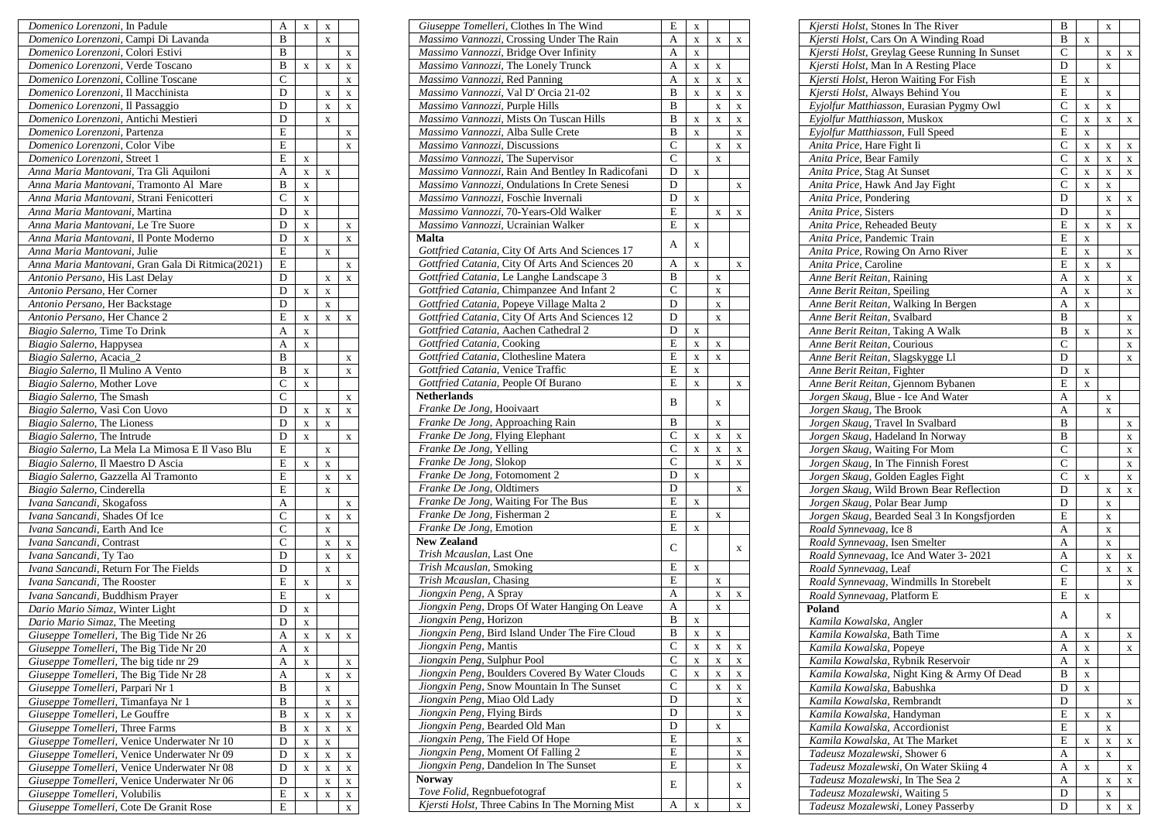| Domenico Lorenzoni, In Padule                    | A              | X           | X           |   |
|--------------------------------------------------|----------------|-------------|-------------|---|
| Domenico Lorenzoni, Campi Di Lavanda             | B              |             | X           |   |
| Domenico Lorenzoni, Colori Estivi                | B              |             |             | X |
| Domenico Lorenzoni, Verde Toscano                | B              | X           | X           | X |
| Domenico Lorenzoni, Colline Toscane              | $\overline{C}$ |             |             | X |
| Domenico Lorenzoni, Il Macchinista               | D              |             | X           | X |
| Domenico Lorenzoni, Il Passaggio                 | D              |             | X           | X |
| Domenico Lorenzoni, Antichi Mestieri             | D              |             | X           |   |
| Domenico Lorenzoni, Partenza                     | E              |             |             | X |
| Domenico Lorenzoni, Color Vibe                   | E              |             |             | X |
| Domenico Lorenzoni, Street 1                     | Ε              | X           |             |   |
| Anna Maria Mantovani, Tra Gli Aquiloni           | A              | $\mathbf X$ | X           |   |
| Anna Maria Mantovani, Tramonto Al Mare           | B              | X           |             |   |
| Anna Maria Mantovani, Strani Fenicotteri         | C              | X           |             |   |
| Anna Maria Mantovani, Martina                    | D              | $\mathbf X$ |             |   |
| Anna Maria Mantovani, Le Tre Suore               | D              | $\mathbf X$ |             | X |
| Anna Maria Mantovani, Il Ponte Moderno           | D              | X           |             | X |
| Anna Maria Mantovani, Julie                      | E              |             | X           |   |
| Anna Maria Mantovani, Gran Gala Di Ritmica(2021) | E              |             |             | X |
| Antonio Persano, His Last Delay                  | D              |             | X           | X |
|                                                  | D              |             |             |   |
| Antonio Persano, Her Corner                      | D              | X           | X           |   |
| Antonio Persano, Her Backstage                   |                |             | X           |   |
| Antonio Persano, Her Chance 2                    | E              | $\mathbf X$ | $\mathbf X$ | X |
| Biagio Salerno, Time To Drink                    | A              | X           |             |   |
| Biagio Salerno, Happysea                         | A              | X           |             |   |
| Biagio Salerno, Acacia_2                         | B              |             |             | X |
| Biagio Salerno, Il Mulino A Vento                | B              | X           |             | X |
| Biagio Salerno, Mother Love                      | C              | X           |             |   |
| Biagio Salerno, The Smash                        | C              |             |             | X |
| Biagio Salerno, Vasi Con Uovo                    | D              | X           | X           | X |
| Biagio Salerno, The Lioness                      | D              | X           | X           |   |
| Biagio Salerno, The Intrude                      | D              | X           |             | X |
| Biagio Salerno, La Mela La Mimosa E Il Vaso Blu  | E              |             | X           |   |
| Biagio Salerno, Il Maestro D Ascia               | E              | X           | X           |   |
| Biagio Salerno, Gazzella Al Tramonto             | E              |             | X           | X |
| Biagio Salerno, Cinderella                       | E              |             | X           |   |
| Ivana Sancandi, Skogafoss                        | A              |             |             | X |
| Ivana Sancandi, Shades Of Ice                    | $\overline{C}$ |             | X           | X |
| Ivana Sancandi, Earth And Ice                    | $\overline{C}$ |             | X           |   |
| Ivana Sancandi, Contrast                         | $\overline{C}$ |             | X           | X |
| Ivana Sancandi, Ty Tao                           | D              |             | X           | X |
| Ivana Sancandi, Return For The Fields            | D              |             | X           |   |
| Ivana Sancandi, The Rooster                      | E              | X           |             | X |
| Ivana Sancandi, Buddhism Prayer                  | E              |             | X           |   |
| Dario Mario Simaz, Winter Light                  | D              | X           |             |   |
| Dario Mario Simaz, The Meeting                   | D              | $\mathbf X$ |             |   |
| Giuseppe Tomelleri, The Big Tide Nr 26           | A              | X           | X           | X |
| Giuseppe Tomelleri, The Big Tide Nr 20           | A              | X           |             |   |
| Giuseppe Tomelleri, The big tide nr 29           | А              | X           |             | X |
| Giuseppe Tomelleri, The Big Tide Nr 28           | А              |             | $\mathbf X$ | X |
| Giuseppe Tomelleri, Parpari Nr 1                 | B              |             | X           |   |
| Giuseppe Tomelleri, Timanfaya Nr 1               | B              |             | $\mathbf X$ | X |
| Giuseppe Tomelleri, Le Gouffre                   | B              | X           | X           | X |
| Giuseppe Tomelleri, Three Farms                  | B              | $\mathbf X$ | $\mathbf X$ | X |
| Giuseppe Tomelleri, Venice Underwater Nr 10      | D              | X           | X           |   |
| Giuseppe Tomelleri, Venice Underwater Nr 09      | D              | X           | $\mathbf X$ | X |
| Giuseppe Tomelleri, Venice Underwater Nr 08      | D              | $\mathbf X$ | X           |   |
| Giuseppe Tomelleri, Venice Underwater Nr 06      | D              |             | X           | X |
| Giuseppe Tomelleri, Volubilis                    | Ε              |             |             | X |
| Giuseppe Tomelleri, Cote De Granit Rose          | E              | X           | X           | X |
|                                                  |                |             |             | X |

| Giuseppe Tomelleri, Clothes In The Wind                                | E                 | X |   |             |
|------------------------------------------------------------------------|-------------------|---|---|-------------|
| Massimo Vannozzi, Crossing Under The Rain                              | A                 | X | X | X           |
| Massimo Vannozzi, Bridge Over Infinity                                 | A                 | X |   |             |
| Massimo Vannozzi, The Lonely Trunck                                    | A                 | X | X |             |
| Massimo Vannozzi, Red Panning                                          | А                 | X | X | $\mathbf X$ |
| Massimo Vannozzi, Val D' Orcia 21-02                                   | B                 | X | X | $\mathbf X$ |
| Massimo Vannozzi, Purple Hills                                         | B                 |   | X | $\mathbf X$ |
| Massimo Vannozzi, Mists On Tuscan Hills                                | B                 | X | X | $\mathbf X$ |
| Massimo Vannozzi, Alba Sulle Crete                                     | B                 | X |   | $\mathbf X$ |
| Massimo Vannozzi, Discussions                                          | $\overline{C}$    |   | X | $\mathbf X$ |
| Massimo Vannozzi, The Supervisor                                       | $\mathsf{C}$      |   | X |             |
| Massimo Vannozzi, Rain And Bentley In Radicofani                       | D                 | X |   |             |
| Massimo Vannozzi, Ondulations In Crete Senesi                          | D                 |   |   | X           |
| Massimo Vannozzi, Foschìe Invernali                                    | D                 | X |   |             |
| Massimo Vannozzi, 70-Years-Old Walker                                  | E                 |   | X | X           |
| Massimo Vannozzi, Ucrainian Walker                                     | E                 | X |   |             |
| Malta                                                                  | А                 | X |   |             |
| Gottfried Catania, City Of Arts And Sciences 17                        |                   |   |   |             |
| Gottfried Catania, City Of Arts And Sciences 20                        | A                 | X |   | X           |
| Gottfried Catania, Le Langhe Landscape 3                               | B                 |   | X |             |
| Gottfried Catania, Chimpanzee And Infant 2                             | $\mathsf{C}$      |   | X |             |
| Gottfried Catania, Popeye Village Malta 2                              | D                 |   | X |             |
| Gottfried Catania, City Of Arts And Sciences 12                        | D                 |   | X |             |
| Gottfried Catania, Aachen Cathedral 2                                  | D                 | X |   |             |
| Gottfried Catania, Cooking                                             | E                 | X | X |             |
| Gottfried Catania, Clothesline Matera                                  | E                 | X | X |             |
| Gottfried Catania, Venice Traffic                                      | E                 | X |   |             |
| Gottfried Catania, People Of Burano                                    | E                 | X |   | X           |
| <b>Netherlands</b>                                                     | B                 |   | X |             |
| Franke De Jong, Hooivaart                                              |                   |   |   |             |
| Franke De Jong, Approaching Rain                                       | B                 |   | X |             |
| Franke De Jong, Flying Elephant                                        | $\mathsf{C}$      | X | X | X           |
| Franke De Jong, Yelling                                                | $\overline{C}$    | X | X | $\mathbf X$ |
| Franke De Jong, Slokop                                                 | $\overline{C}$    |   | X | $\mathbf X$ |
| Franke De Jong, Fotomoment 2                                           | $\overline{D}$    | X |   |             |
| Franke De Jong, Oldtimers                                              | D                 |   |   | X           |
| Franke De Jong, Waiting For The Bus                                    | E                 | X |   |             |
| Franke De Jong, Fisherman 2                                            | E                 |   | X |             |
| Franke De Jong, Emotion                                                | E                 | X |   |             |
| <b>New Zealand</b>                                                     | C                 |   |   | X           |
| Trish Mcauslan, Last One                                               |                   |   |   |             |
| Trish Mcauslan, Smoking                                                | E<br>E            | X |   |             |
| Trish Mcauslan, Chasing                                                |                   |   | X |             |
| Jiongxin Peng, A Spray                                                 | A                 |   | X | X           |
| Jiongxin Peng, Drops Of Water Hanging On Leave                         | A<br>B            |   | X |             |
| Jiongxin Peng, Horizon                                                 |                   | X |   |             |
| Jiongxin Peng, Bird Island Under The Fire Cloud                        | B<br>$\mathsf{C}$ | X | X |             |
| Jiongxin Peng, Mantis                                                  | C                 | X | X | X           |
| Jiongxin Peng, Sulphur Pool                                            |                   | X | X | X           |
| Jiongxin Peng, Boulders Covered By Water Clouds                        | С<br>$\mathsf{C}$ | X | X | $\mathbf X$ |
| Jiongxin Peng, Snow Mountain In The Sunset                             | D                 |   | X | X           |
| Jiongxin Peng, Miao Old Lady                                           | D                 |   |   | $\mathbf X$ |
| Jiongxin Peng, Flying Birds<br>Jiongxin Peng, Bearded Old Man          | D                 |   |   | X           |
|                                                                        | E                 |   | X |             |
| Jiongxin Peng, The Field Of Hope<br>Jiongxin Peng, Moment Of Falling 2 | E                 |   |   | X           |
| Jiongxin Peng, Dandelion In The Sunset                                 | E                 |   |   | X           |
| Norway                                                                 |                   |   |   | X           |
| Tove Folid, Regnbuefotograf                                            | E                 |   |   | X           |
| Kjersti Holst, Three Cabins In The Morning Mist                        | А                 | X |   | X           |
|                                                                        |                   |   |   |             |

| Kjersti Holst, Stones In The River                                   | B              |             | X           |   |
|----------------------------------------------------------------------|----------------|-------------|-------------|---|
| Kjersti Holst, Cars On A Winding Road                                | B              | X           |             |   |
| Kjersti Holst, Greylag Geese Running In Sunset                       | $\overline{C}$ |             | X           | X |
| Kjersti Holst, Man In A Resting Place                                | D              |             | $\mathbf X$ |   |
| Kjersti Holst, Heron Waiting For Fish                                | E              | X           |             |   |
| Kjersti Holst, Always Behind You                                     | E              |             | X           |   |
| Eyjolfur Matthiasson, Eurasian Pygmy Owl                             | C              | $\mathbf X$ | X           |   |
| Eyjolfur Matthiasson, Muskox                                         | $\overline{C}$ | $\mathbf X$ | X           | X |
| Eyjolfur Matthiasson, Full Speed                                     | E              | $\mathbf X$ |             |   |
| Anita Price, Hare Fight Ii                                           | C              | $\mathbf X$ | X           | X |
| Anita Price, Bear Family                                             | C              | X           |             |   |
| Anita Price, Stag At Sunset                                          | C              |             | X           | X |
|                                                                      |                | $\mathbf X$ | X           | X |
| Anita Price, Hawk And Jay Fight                                      | С              | $\mathbf X$ | X           |   |
| Anita Price, Pondering                                               | D              |             | X           | X |
| Anita Price, Sisters                                                 | D              |             | X           |   |
| Anita Price, Reheaded Beuty                                          | E              | X           | X           | X |
| Anita Price, Pandemic Train                                          | E              | $\mathbf X$ |             |   |
| Anita Price, Rowing On Arno River                                    | E              | $\mathbf X$ |             | X |
| Anita Price, Caroline                                                | E              | X           | X           |   |
| Anne Berit Reitan, Raining                                           | A              | $\mathbf X$ |             | X |
| Anne Berit Reitan, Speiling                                          | A              | $\mathbf X$ |             | X |
| Anne Berit Reitan, Walking In Bergen                                 | A              | $\mathbf X$ |             |   |
| Anne Berit Reitan, Svalbard                                          | B              |             |             | X |
| Anne Berit Reitan, Taking A Walk                                     | B              | X           |             | X |
| Anne Berit Reitan, Courious                                          | $\mathsf{C}$   |             |             | X |
| Anne Berit Reitan, Slagskygge Ll                                     | D              |             |             | X |
| Anne Berit Reitan, Fighter                                           | D              | X           |             |   |
| Anne Berit Reitan, Gjennom Bybanen                                   | E              | X           |             |   |
| Jorgen Skaug, Blue - Ice And Water                                   | A              |             | X           |   |
| Jorgen Skaug, The Brook                                              | A              |             |             |   |
|                                                                      | B              |             | X           |   |
| Jorgen Skaug, Travel In Svalbard<br>Jorgen Skaug, Hadeland In Norway | B              |             |             | X |
|                                                                      |                |             |             | X |
| Jorgen Skaug, Waiting For Mom                                        | $\overline{C}$ |             |             | X |
| Jorgen Skaug, In The Finnish Forest                                  | C              |             |             | X |
| Jorgen Skaug, Golden Eagles Fight                                    | $\overline{C}$ | X           |             | X |
| Jorgen Skaug, Wild Brown Bear Reflection                             | D              |             | X           | X |
| Jorgen Skaug, Polar Bear Jump                                        | D              |             | X           |   |
| Jorgen Skaug, Bearded Seal 3 In Kongsfjorden                         | E              |             | X           |   |
| Roald Synnevaag, Ice 8                                               | A              |             | X           |   |
| Roald Synnevaag, Isen Smelter                                        | A              |             | X           |   |
| Roald Synnevaag, Ice And Water 3-2021                                | A              |             | X           | X |
| Roald Synnevaag, Leaf                                                | $\overline{C}$ |             | X           | X |
| Roald Synnevaag, Windmills In Storebelt                              | E              |             |             | X |
| Roald Synnevaag, Platform E                                          | E              | X           |             |   |
| Poland                                                               |                |             |             |   |
| Kamila Kowalska, Angler                                              | А              |             | X           |   |
| Kamila Kowalska, Bath Time                                           | A              | х           |             | х |
| Kamila Kowalska, Popeye                                              | A              | $\mathbf X$ |             | X |
| Kamila Kowalska, Rybnik Reservoir                                    | A              | X           |             |   |
| Kamila Kowalska, Night King & Army Of Dead                           | B              |             |             |   |
| Kamila Kowalska, Babushka                                            | D              | X           |             |   |
|                                                                      |                | X           |             |   |
| Kamila Kowalska, Rembrandt                                           | D              |             |             | X |
| Kamila Kowalska, Handyman                                            | E              | X           | X           |   |
| Kamila Kowalska, Accordionist                                        | E              |             | X           |   |
| Kamila Kowalska, At The Market                                       | E              | X           | X           | X |
| Tadeusz Mozalewski, Shower 6                                         | A              |             | X           |   |
| Tadeusz Mozalewski, On Water Skiing 4                                | A              | $\mathbf X$ |             | X |
| Tadeusz Mozalewski, In The Sea 2                                     | A              |             | X           | X |
| Tadeusz Mozalewski, Waiting 5                                        | D              |             | X           |   |
| Tadeusz Mozalewski, Loney Passerby                                   | D              |             | X           | X |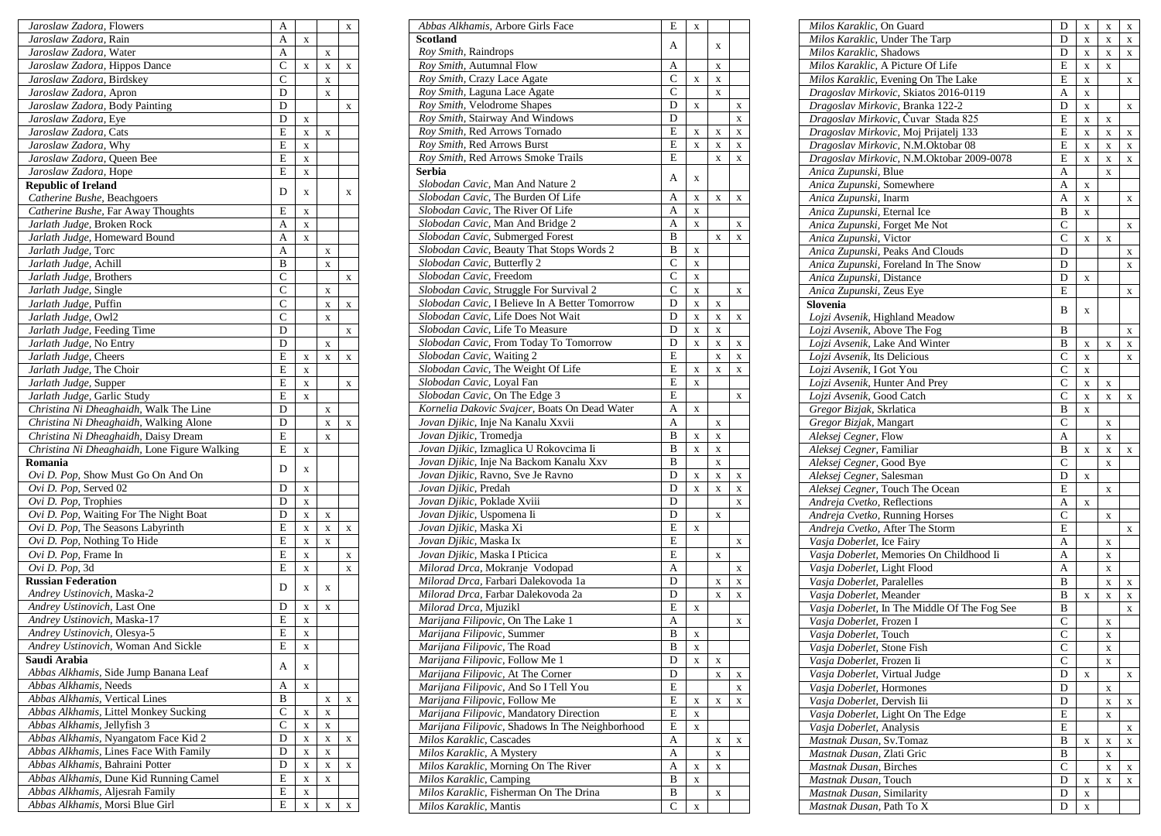| Jaroslaw Zadora, Flowers                                           | A              |             |   | X |
|--------------------------------------------------------------------|----------------|-------------|---|---|
| Jaroslaw Zadora, Rain                                              | A              | X           |   |   |
| Jaroslaw Zadora, Water                                             | A              |             | X |   |
| Jaroslaw Zadora, Hippos Dance                                      | C              | X           | X | X |
| Jaroslaw Zadora, Birdskey                                          | C              |             | X |   |
| Jaroslaw Zadora, Apron                                             | D              |             | X |   |
| Jaroslaw Zadora, Body Painting                                     | D              |             |   | X |
| Jaroslaw Zadora, Eye                                               | D              | X           |   |   |
| Jaroslaw Zadora, Cats                                              | E              | X           | X |   |
| Jaroslaw Zadora, Why                                               | E              | X           |   |   |
| Jaroslaw Zadora, Queen Bee                                         | E              | X           |   |   |
| Jaroslaw Zadora, Hope                                              | E              | X           |   |   |
| <b>Republic of Ireland</b>                                         |                |             |   |   |
| Catherine Bushe, Beachgoers                                        | D              | X           |   | X |
| Catherine Bushe, Far Away Thoughts                                 | E              | X           |   |   |
| Jarlath Judge, Broken Rock                                         | А              | X           |   |   |
| Jarlath Judge, Homeward Bound                                      | А              |             |   |   |
|                                                                    | A              | X           |   |   |
| Jarlath Judge, Torc                                                |                |             | X |   |
| Jarlath Judge, Achill                                              | B              |             | X |   |
| Jarlath Judge, Brothers                                            | $\overline{C}$ |             |   | X |
| Jarlath Judge, Single                                              | C              |             | X |   |
| Jarlath Judge, Puffin                                              | $\mathsf{C}$   |             | X | X |
| Jarlath Judge, Owl2                                                | $\overline{C}$ |             | X |   |
| Jarlath Judge, Feeding Time                                        | D              |             |   | X |
| Jarlath Judge, No Entry                                            | D              |             | X |   |
| Jarlath Judge, Cheers                                              | Ε              | X           | X | X |
| Jarlath Judge, The Choir                                           | E              | X           |   |   |
| Jarlath Judge, Supper                                              | E              | X           |   | X |
| Jarlath Judge, Garlic Study                                        | E              | X           |   |   |
| Christina Ni Dheaghaidh, Walk The Line                             | D              |             | X |   |
| Christina Ni Dheaghaidh, Walking Alone                             | D              |             | X | X |
| Christina Ni Dheaghaidh, Daisy Dream                               | E              |             | X |   |
| Christina Ni Dheaghaidh, Lone Figure Walking                       | E              | X           |   |   |
| Romania                                                            |                |             |   |   |
| Ovi D. Pop, Show Must Go On And On                                 | D              | X           |   |   |
| Ovi D. Pop, Served 02                                              | D              | X           |   |   |
| Ovi D. Pop, Trophies                                               | D              | X           |   |   |
| Ovi D. Pop, Waiting For The Night Boat                             | D              | X           | X |   |
| Ovi D. Pop, The Seasons Labyrinth                                  | E              | X           | X | X |
| Ovi D. Pop, Nothing To Hide                                        | E              | X           | X |   |
| Ovi D. Pop, Frame In                                               | E              | X           |   | X |
| Ovi D. Pop, 3d                                                     | E              | X           |   | X |
| <b>Russian Federation</b>                                          |                |             |   |   |
| Andrey Ustinovich, Maska-2                                         | D              | X           | X |   |
| Andrey Ustinovich, Last One                                        | D              | X           | X |   |
| Andrey Ustinovich, Maska-17                                        | E              |             |   |   |
|                                                                    |                | X           |   |   |
| Andrey Ustinovich, Olesya-5                                        | E              | X           |   |   |
| Andrey Ustinovich, Woman And Sickle                                | E              | X           |   |   |
| Saudi Arabia                                                       | А              | $\mathbf X$ |   |   |
| Abbas Alkhamis, Side Jump Banana Leaf                              |                |             |   |   |
| Abbas Alkhamis, Needs                                              | A              | X           |   |   |
| Abbas Alkhamis, Vertical Lines                                     | B              |             | X | X |
| Abbas Alkhamis, Littel Monkey Sucking                              |                |             | X |   |
| Abbas Alkhamis, Jellyfish 3                                        | $\mathbf C$    | X           |   |   |
|                                                                    | С              | X           | X |   |
| Abbas Alkhamis, Nyangatom Face Kid 2                               | D              | X           | X | X |
| Abbas Alkhamis, Lines Face With Family                             | D              | $\mathbf X$ | X |   |
| Abbas Alkhamis, Bahraini Potter                                    | D              | $\mathbf X$ | X | X |
| Abbas Alkhamis, Dune Kid Running Camel                             | E              | X           | X |   |
| Abbas Alkhamis, Aljesrah Family<br>Abbas Alkhamis, Morsi Blue Girl | E              | X           |   |   |

| Abbas Alkhamis, Arbore Girls Face                                      | E              | X           |   |             |
|------------------------------------------------------------------------|----------------|-------------|---|-------------|
| Scotland                                                               | А              |             | X |             |
| Roy Smith, Raindrops                                                   |                |             |   |             |
| Roy Smith, Autumnal Flow                                               | Α              |             | X |             |
| Roy Smith, Crazy Lace Agate                                            | $\mathsf{C}$   | X           | X |             |
| Roy Smith, Laguna Lace Agate                                           | $\overline{C}$ |             | X |             |
| Roy Smith, Velodrome Shapes                                            | D              | X           |   | X           |
| Roy Smith, Stairway And Windows                                        | D              |             |   | $\mathbf X$ |
| Roy Smith, Red Arrows Tornado                                          | E              | X           | X | $\mathbf x$ |
| Roy Smith, Red Arrows Burst                                            | E              | X           | X | $\mathbf X$ |
| Roy Smith, Red Arrows Smoke Trails                                     | E              |             | X | $\mathbf x$ |
| Serbia                                                                 | А              | X           |   |             |
| Slobodan Cavic, Man And Nature 2<br>Slobodan Cavic, The Burden Of Life | А              |             |   |             |
| Slobodan Cavic, The River Of Life                                      | A              | X<br>X      | X | x           |
| Slobodan Cavic, Man And Bridge 2                                       | А              | X           |   | X           |
| Slobodan Cavic, Submerged Forest                                       | B              |             | X | $\mathbf x$ |
| Slobodan Cavic, Beauty That Stops Words 2                              | B              | X           |   |             |
| Slobodan Cavic, Butterfly 2                                            | $\mathsf{C}$   | X           |   |             |
| Slobodan Cavic, Freedom                                                | $\overline{C}$ | X           |   |             |
| Slobodan Cavic, Struggle For Survival 2                                | C              | $\mathbf X$ |   | X           |
| Slobodan Cavic, I Believe In A Better Tomorrow                         | D              | X           | X |             |
| Slobodan Cavic, Life Does Not Wait                                     | D              | X           | X | X           |
| Slobodan Cavic, Life To Measure                                        | D              | X           | X |             |
| Slobodan Cavic, From Today To Tomorrow                                 | D              | X           | X | X           |
| Slobodan Cavic, Waiting 2                                              | E              |             | X | $\mathbf X$ |
| Slobodan Cavic, The Weight Of Life                                     | E              | X           | X | $\mathbf X$ |
| Slobodan Cavic, Loyal Fan                                              | E              | X           |   |             |
| Slobodan Cavic, On The Edge 3                                          | E              |             |   | X           |
| Kornelia Dakovic Svajcer, Boats On Dead Water                          | A              | X           |   |             |
| Jovan Djikic, Inje Na Kanalu Xxvii                                     | A              |             | X |             |
| Jovan Djikic, Tromedja                                                 | B              | X           | X |             |
| Jovan Djikic, Izmaglica U Rokovcima Ii                                 | B              | X           | X |             |
| Jovan Djikic, Inje Na Backom Kanalu Xxv                                | B              |             | X |             |
| Jovan Djikic, Ravno, Sve Je Ravno                                      | D              | X           | X | X           |
| Jovan Djikic, Predah                                                   | D              | X           | X | X           |
| Jovan Djikic, Poklade Xviii                                            | D              |             |   | X           |
| Jovan Djikic, Uspomena Ii                                              | D              |             | X |             |
| Jovan Djikic, Maska Xi                                                 | E              | X           |   |             |
| Jovan Djikic, Maska Ix                                                 | E              |             |   | X           |
| Jovan Djikic, Maska I Pticica                                          | E              |             | X |             |
| Milorad Drca, Mokranje Vodopad                                         | A              |             |   | X           |
| Milorad Drca, Farbari Dalekovoda 1a                                    | D              |             | X | $\mathbf X$ |
| Milorad Drca, Farbar Dalekovoda 2a                                     | D              |             | X | $\mathbf X$ |
| Milorad Drca, Mjuzikl                                                  | E              | X           |   |             |
| Marijana Filipovic, On The Lake 1                                      | A              |             |   | X           |
| <i>Marijana Filipovic, Summer</i>                                      | В              | X           |   |             |
| Marijana Filipovic, The Road                                           | B              | X           |   |             |
| Marijana Filipovic, Follow Me 1                                        | D              | X           | X |             |
| Marijana Filipovic, At The Corner                                      | D              |             | X | X           |
| Marijana Filipovic, And So I Tell You                                  | E              |             |   | X           |
| Marijana Filipovic, Follow Me                                          | Е              | X           | X | X           |
| Marijana Filipovic, Mandatory Direction                                | E              | X           |   |             |
| Marijana Filipovic, Shadows In The Neighborhood                        | E              | X           |   |             |
| Milos Karaklic, Cascades                                               | А              |             | X | X           |
| Milos Karaklic, A Mystery                                              | Α              |             | X |             |
| Milos Karaklic, Morning On The River                                   | A              | X           | X |             |
| Milos Karaklic, Camping                                                | В              | X           |   |             |
| Milos Karaklic, Fisherman On The Drina                                 | B              |             | X |             |
| Milos Karaklic, Mantis                                                 | С              | X           |   |             |

| Milos Karaklic, On Guard                     | D              | X                       | X           | X |
|----------------------------------------------|----------------|-------------------------|-------------|---|
| Milos Karaklic, Under The Tarp               | D              | X                       | X           | X |
| Milos Karaklic, Shadows                      | D              | X                       | X           | X |
| Milos Karaklic, A Picture Of Life            | E              | $\mathbf X$             | X           |   |
| Milos Karaklic, Evening On The Lake          | E              | X                       |             | X |
| Dragoslav Mirkovic, Skiatos 2016-0119        | A              | X                       |             |   |
| Dragoslav Mirkovic, Branka 122-2             | D              | X                       |             | X |
| Dragoslav Mirkovic, Čuvar Stada 825          | E              | $\mathbf X$             | X           |   |
| Dragoslav Mirkovic, Moj Prijatelj 133        | E              | $\mathbf X$             | X           | X |
| Dragoslav Mirkovic, N.M.Oktobar 08           | E              | $\mathbf X$             | X           | X |
| Dragoslav Mirkovic, N.M.Oktobar 2009-0078    | E              | X                       | X           | X |
| Anica Zupunski, Blue                         | A              |                         | X           |   |
| Anica Zupunski, Somewhere                    |                |                         |             |   |
|                                              | A              | $\mathbf X$             |             |   |
| Anica Zupunski, Inarm                        | A              | $\mathbf X$             |             | x |
| Anica Zupunski, Eternal Ice                  | B              | X                       |             |   |
| Anica Zupunski, Forget Me Not                | C              |                         |             | X |
| Anica Zupunski, Victor                       | C              | $\mathbf X$             | X           |   |
| Anica Zupunski, Peaks And Clouds             | D              |                         |             | X |
| Anica Zupunski, Foreland In The Snow         | D              |                         |             | X |
| Anica Zupunski, Distance                     | D              | X                       |             |   |
| Anica Zupunski, Zeus Eye                     | E              |                         |             | X |
| Slovenia                                     |                |                         |             |   |
| Lojzi Avsenik, Highland Meadow               | В              | X                       |             |   |
| Lojzi Avsenik, Above The Fog                 | B              |                         |             | X |
| Lojzi Avsenik, Lake And Winter               | B              | X                       | X           | X |
| Lojzi Avsenik, Its Delicious                 | $\overline{C}$ | X                       |             | X |
| Lojzi Avsenik, I Got You                     | $\overline{C}$ | $\overline{\mathbf{X}}$ |             |   |
| Lojzi Avsenik, Hunter And Prey               | C              | $\mathbf X$             | X           |   |
| Lojzi Avsenik, Good Catch                    | C              | $\mathbf X$             | X           | X |
| Gregor Bizjak, Skrlatica                     | B              |                         |             |   |
|                                              |                | X                       |             |   |
| Gregor Bizjak, Mangart                       | C              |                         | X           |   |
| Aleksej Cegner, Flow                         | A              |                         | X           |   |
| Aleksej Cegner, Familiar                     | B              | X                       | X           | X |
| Aleksej Cegner, Good Bye                     | C              |                         | X           |   |
| Aleksej Cegner, Salesman                     | D              | X                       |             |   |
| Aleksej Cegner, Touch The Ocean              | E              |                         | X           |   |
| Andreja Cvetko, Reflections                  | A              | X                       |             |   |
| Andreja Cvetko, Running Horses               | C              |                         | X           |   |
| Andreja Cvetko, After The Storm              | E              |                         |             | X |
| Vasja Doberlet, Ice Fairy                    | А              |                         | X           |   |
| Vasja Doberlet, Memories On Childhood Ii     | A              |                         | X           |   |
| Vasja Doberlet, Light Flood                  | A              |                         | X           |   |
| Vasja Doberlet, Paralelles                   | B              |                         | X           | X |
| Vasja Doberlet, Meander                      | B              | X                       | X           | X |
| Vasja Doberlet, In The Middle Of The Fog See | B              |                         |             |   |
|                                              | $\mathsf{C}$   |                         |             | X |
| Vasja Doberlet, Frozen I                     |                |                         | X           |   |
| Vasja Doberlet, Touch                        | C              |                         | x           |   |
| Vasja Doberlet, Stone Fish                   | C              |                         | $\mathbf X$ |   |
| Vasja Doberlet, Frozen Ii                    | С              |                         | X           |   |
| Vasja Doberlet, Virtual Judge                | D              | X                       |             | X |
| Vasja Doberlet, Hormones                     | D              |                         | $\mathbf X$ |   |
| Vasja Doberlet, Dervish Iii                  | D              |                         | X           | X |
| Vasja Doberlet, Light On The Edge            | E              |                         | $\mathbf X$ |   |
| Vasja Doberlet, Analysis                     | E              |                         |             | X |
| Mastnak Dusan, Sv.Tomaz                      | B              | X                       | X           | X |
| Mastnak Dusan, Zlati Gric                    | B              |                         | $\mathbf X$ |   |
| Mastnak Dusan, Birches                       | C              |                         | X           | X |
| Mastnak Dusan, Touch                         | D              | $\mathbf X$             | X           | X |
| Mastnak Dusan, Similarity                    | D              | $\mathbf X$             |             |   |
| Mastnak Dusan, Path To X                     | D              |                         |             |   |
|                                              |                | X                       |             |   |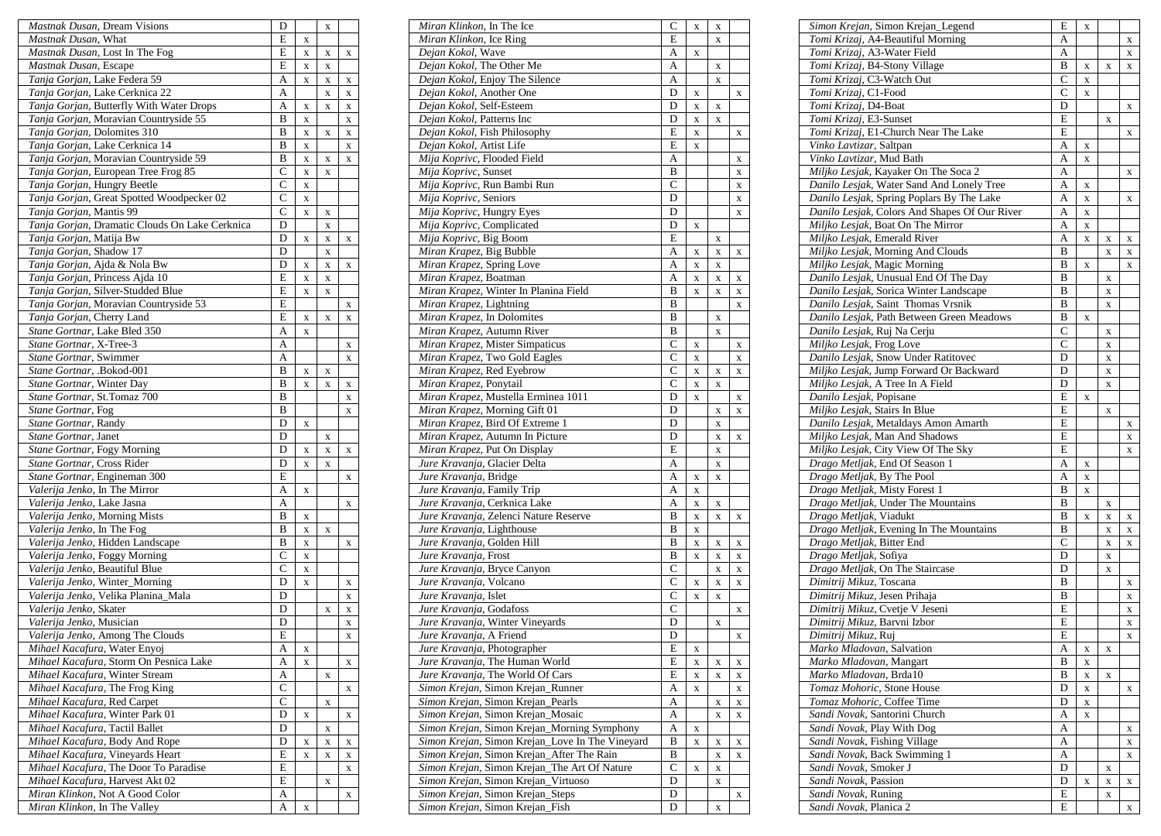| Mastnak Dusan, Dream Visions                   | D              |             | X |             |
|------------------------------------------------|----------------|-------------|---|-------------|
| Mastnak Dusan, What                            | E              | X           |   |             |
| Mastnak Dusan, Lost In The Fog                 | E              | X           | X | X           |
| Mastnak Dusan, Escape                          | E              | X           | X |             |
| Tanja Gorjan, Lake Federa 59                   | A              | $\mathbf X$ | X | X           |
| Tanja Gorjan, Lake Cerknica 22                 | A              |             | X | $\mathbf X$ |
| Tanja Gorjan, Butterfly With Water Drops       | A              | X           | X | X           |
| Tanja Gorjan, Moravian Countryside 55          | B              | X           |   | X           |
| Tanja Gorjan, Dolomites 310                    | B              | X           | X | X           |
| Tanja Gorjan, Lake Cerknica 14                 | B              | X           |   | X           |
| Tanja Gorjan, Moravian Countryside 59          | B              | X           | X | X           |
| Tanja Gorjan, European Tree Frog 85            | $\mathsf{C}$   | X           | X |             |
| Tanja Gorjan, Hungry Beetle                    | $\mathsf{C}$   | X           |   |             |
| Tanja Gorjan, Great Spotted Woodpecker 02      | С              | X           |   |             |
| Tanja Gorjan, Mantis 99                        | $\mathsf{C}$   | X           | X |             |
| Tanja Gorjan, Dramatic Clouds On Lake Cerknica | D              |             | X |             |
| Tanja Gorjan, Matija Bw                        | D              | X           | X | $\mathbf X$ |
| Tanja Gorjan, Shadow 17                        | D              |             | X |             |
| Tanja Gorjan, Ajda & Nola Bw                   | D              | X           | X | X           |
| Tanja Gorjan, Princess Ajda 10                 | E              | X           | X |             |
| Tanja Gorjan, Silver-Studded Blue              | E              | X           | X |             |
| Tanja Gorjan, Moravian Countryside 53          | E              |             |   | X           |
| Tanja Gorjan, Cherry Land                      | E              | X           | X | X           |
| Stane Gortnar, Lake Bled 350                   | A              | X           |   |             |
| Stane Gortnar, X-Tree-3                        | A              |             |   | X           |
| Stane Gortnar, Swimmer                         | A              |             |   | X           |
| Stane Gortnar, .Bokod-001                      | B              | X           | X |             |
| Stane Gortnar, Winter Day                      | B              | X           | X | X           |
| Stane Gortnar, St.Tomaz 700                    | B              |             |   | X           |
| Stane Gortnar, Fog                             | B              |             |   | X           |
| Stane Gortnar, Randy                           | D              | X           |   |             |
| Stane Gortnar, Janet                           | D              |             | X |             |
| Stane Gortnar, Fogy Morning                    | D              | X           | X | $\mathbf X$ |
| Stane Gortnar, Cross Rider                     | D              | X           | X |             |
| Stane Gortnar, Engineman 300                   | E              |             |   | X           |
| Valerija Jenko, In The Mirror                  | A              | X           |   |             |
| Valerija Jenko, Lake Jasna                     | Α              |             |   | X           |
| Valerija Jenko, Morning Mists                  | B              | X           |   |             |
| Valerija Jenko, In The Fog                     | B              | $\mathbf X$ | X |             |
| Valerija Jenko, Hidden Landscape               | B              | X           |   | X           |
| Valerija Jenko, Foggy Morning                  | $\mathsf{C}$   | X           |   |             |
| Valerija Jenko, Beautiful Blue                 | C              | X           |   |             |
| Valerija Jenko, Winter_Morning                 | D              | X           |   | X           |
| Valerija Jenko, Velika Planina_Mala            | D              |             |   | X           |
| Valerija Jenko, Skater                         | D              |             | X | $\mathbf X$ |
| Valerija Jenko, Musician                       | D              |             |   | $\mathbf X$ |
| Valerija Jenko, Among The Clouds               | Ε              |             |   | X           |
| Mihael Kacafura, Water Enyoj                   | А              | X           |   |             |
| Mihael Kacafura, Storm On Pesnica Lake         | A              | X           |   | $\mathbf X$ |
| Mihael Kacafura, Winter Stream                 | А              |             | X |             |
| Mihael Kacafura, The Frog King                 | $\mathcal{C}$  |             |   | X           |
| Mihael Kacafura, Red Carpet                    | $\overline{C}$ |             | X |             |
| Mihael Kacafura, Winter Park 01                | D              | X           |   | $\mathbf X$ |
| Mihael Kacafura, Tactil Ballet                 | D              |             | X |             |
| Mihael Kacafura, Body And Rope                 | D              | X           | X | X           |
| Mihael Kacafura, Vineyards Heart               | E              | X           | X | X           |
| Mihael Kacafura, The Door To Paradise          | E              |             |   | X           |
| Mihael Kacafura, Harvest Akt 02                | E              |             | X |             |
| Miran Klinkon, Not A Good Color                | A              |             |   | X           |
| Miran Klinkon, In The Valley                   | A              | X           |   |             |

| Miran Klinkon, In The Ice                       | C              | X           | X           |             |
|-------------------------------------------------|----------------|-------------|-------------|-------------|
| Miran Klinkon, Ice Ring                         | E              |             | $\mathbf X$ |             |
| Dejan Kokol, Wave                               | А              | X           |             |             |
| Dejan Kokol, The Other Me                       | A              |             | X           |             |
| Dejan Kokol, Enjoy The Silence                  | A              |             | $\mathbf X$ |             |
| Dejan Kokol, Another One                        | D              | X           |             | X           |
| Dejan Kokol, Self-Esteem                        | D              | X           | X           |             |
| Dejan Kokol, Patterns Inc                       | D              | X           | $\mathbf X$ |             |
| Dejan Kokol, Fish Philosophy                    | E              | X           |             | X           |
| Dejan Kokol, Artist Life                        | E              | $\mathbf x$ |             |             |
| Mija Koprivc, Flooded Field                     | A              |             |             | X           |
| Mija Koprivc, Sunset                            | B              |             |             | X           |
| Mija Koprivc, Run Bambi Run                     | $\overline{C}$ |             |             | $\mathbf X$ |
| Mija Koprivc, Seniors                           | D              |             |             | X           |
| Mija Koprivc, Hungry Eyes                       | D              |             |             | X           |
| Mija Koprivc, Complicated                       | D              | X           |             |             |
| Mija Koprivc, Big Boom                          | E              |             | X           |             |
| Miran Krapez, Big Bubble                        | A              | X           | $\mathbf X$ | X           |
| Miran Krapez, Spring Love                       | A              | $\mathbf X$ | X           |             |
| Miran Krapez, Boatman                           | A              | X           | X           | X           |
| Miran Krapez, Winter In Planina Field           | B              | $\mathbf X$ | X           | X           |
| Miran Krapez, Lightning                         | B              |             |             | X           |
| Miran Krapez, In Dolomites                      | B              |             | $\mathbf X$ |             |
| Miran Krapez, Autumn River                      | B              |             | X           |             |
| Miran Krapez, Mister Simpaticus                 | $\mathcal{C}$  | X           |             | X           |
| Miran Krapez, Two Gold Eagles                   | $\overline{C}$ | $\mathbf X$ |             | $\mathbf X$ |
| Miran Krapez, Red Eyebrow                       | $\overline{C}$ | X           | X           | X           |
| Miran Krapez, Ponytail                          | $\mathcal{C}$  | X           | X           |             |
| Miran Krapez, Mustella Erminea 1011             | D              | X           |             | X           |
| Miran Krapez, Morning Gift 01                   | D              |             | X           | X           |
| Miran Krapez, Bird Of Extreme 1                 | D              |             | X           |             |
| Miran Krapez, Autumn In Picture                 | D              |             | X           | X           |
| Miran Krapez, Put On Display                    | E              |             | X           |             |
| Jure Kravanja, Glacier Delta                    | A              |             | X           |             |
| Jure Kravanja, Bridge                           | A              | X           | X           |             |
| Jure Kravanja, Family Trip                      | A              | X           |             |             |
| Jure Kravanja, Cerknica Lake                    | A              | X           | X           |             |
| Jure Kravanja, Zelenci Nature Reserve           | B              | $\mathbf X$ | X           | X           |
| Jure Kravanja, Lighthouse                       | B              | $\mathbf X$ |             |             |
| Jure Kravanja, Golden Hill                      | B              | $\mathbf X$ | X           | X           |
| Jure Kravanja, Frost                            | B              | X           | X           | X           |
| Jure Kravanja, Bryce Canyon                     | $\mathcal{C}$  |             | X           | $\mathbf X$ |
| Jure Kravanja, Volcano                          | $\overline{C}$ | X           | X           | X           |
| Jure Kravanja, Islet                            | $\overline{C}$ | X           | X           |             |
| Jure Kravanja, Godafoss                         | $\mathsf{C}$   |             |             | X           |
| Jure Kravanja, Winter Vineyards                 | $\overline{D}$ |             | X           |             |
| Jure Kravanja, A Friend                         | D              |             |             | x           |
| Jure Kravanja, Photographer                     | E              | X           |             |             |
| Jure Kravanja, The Human World                  | E              | X           | X           | X           |
| Jure Kravanja, The World Of Cars                | E              | $\mathbf X$ | X           | X           |
| Simon Krejan, Simon Krejan_Runner               | A              | X           |             | X           |
| Simon Krejan, Simon Krejan_Pearls               | А              |             | X           | X           |
| Simon Krejan, Simon Krejan_Mosaic               | А              |             | X           | X           |
| Simon Krejan, Simon Krejan_Morning Symphony     | A              | X           |             |             |
| Simon Krejan, Simon Krejan_Love In The Vineyard | B              | $\mathbf X$ | X           | X           |
| Simon Krejan, Simon Krejan_After The Rain       | В              |             | X           | X           |
| Simon Krejan, Simon Krejan_The Art Of Nature    | C              | X           | X           |             |
| Simon Krejan, Simon Krejan_Virtuoso             | D              |             | X           |             |
| Simon Krejan, Simon Krejan_Steps                | D              |             |             | X           |
| Simon Krejan, Simon Krejan_Fish                 | D              |             | $\mathbf X$ |             |

| Simon Krejan, Simon Krejan_Legend             | E              | $\mathbf X$ |             |             |
|-----------------------------------------------|----------------|-------------|-------------|-------------|
| Tomi Krizaj, A4-Beautiful Morning             | A              |             |             | X           |
| Tomi Krizaj, A3-Water Field                   | А              |             |             | $\mathbf X$ |
| Tomi Krizaj, B4-Stony Village                 | B              | X           | X           | X           |
| Tomi Krizaj, C3-Watch Out                     | C              | X           |             |             |
| Tomi Krizaj, C1-Food                          | C              | X           |             |             |
| Tomi Krizaj, D4-Boat                          | D              |             |             | X           |
| Tomi Krizaj, E3-Sunset                        | E              |             | X           |             |
| Tomi Krizaj, E1-Church Near The Lake          | E              |             |             |             |
| Vinko Lavtizar, Saltpan                       |                |             |             | X           |
|                                               | A              | X           |             |             |
| Vinko Lavtizar, Mud Bath                      | A              | X           |             |             |
| Miljko Lesjak, Kayaker On The Soca 2          | A              |             |             | X           |
| Danilo Lesjak, Water Sand And Lonely Tree     | А              | X           |             |             |
| Danilo Lesjak, Spring Poplars By The Lake     | A              | $\mathbf X$ |             | X           |
| Danilo Lesjak, Colors And Shapes Of Our River | A              | X           |             |             |
| Miljko Lesjak, Boat On The Mirror             | A              | $\mathbf X$ |             |             |
| Miljko Lesjak, Emerald River                  | A              | $\mathbf X$ | X           | X           |
| Miljko Lesjak, Morning And Clouds             | B              |             | X           | X           |
| Miljko Lesjak, Magic Morning                  | B              | X           |             | X           |
| Danilo Lesjak, Unusual End Of The Day         | B              |             | X           |             |
| Danilo Lesjak, Sorica Winter Landscape        | B              |             | X           |             |
| Danilo Lesjak, Saint Thomas Vrsnik            | B              |             |             |             |
|                                               |                |             | X           |             |
| Danilo Lesjak, Path Between Green Meadows     | B              | X           |             |             |
| Danilo Lesjak, Ruj Na Cerju                   | C              |             | X           |             |
| Miljko Lesjak, Frog Love                      | $\overline{C}$ |             | X           |             |
| Danilo Lesjak, Snow Under Ratitovec           | D              |             | X           |             |
| Miljko Lesjak, Jump Forward Or Backward       | D              |             | X           |             |
| Miljko Lesjak, A Tree In A Field              | D              |             | X           |             |
| Danilo Lesjak, Popisane                       | E              | X           |             |             |
| Miljko Lesjak, Stairs In Blue                 | E              |             | X           |             |
| Danilo Lesjak, Metaldays Amon Amarth          | E              |             |             | X           |
| Miljko Lesjak, Man And Shadows                | E              |             |             | X           |
| Miljko Lesjak, City View Of The Sky           | E              |             |             | X           |
| Drago Metljak, End Of Season 1                | A              | X           |             |             |
| Drago Metljak, By The Pool                    | A              | $\mathbf X$ |             |             |
| Drago Metljak, Misty Forest 1                 | B              | $\mathbf X$ |             |             |
| Drago Metljak, Under The Mountains            | B              |             |             |             |
|                                               |                |             | X           |             |
| Drago Metljak, Viadukt                        | B              | X           | X           | X           |
| Drago Metljak, Evening In The Mountains       | B              |             | X           | X           |
| Drago Metljak, Bitter End                     | $\overline{C}$ |             | X           | X           |
| Drago Metljak, Sofiya                         | D              |             | X           |             |
| Drago Metljak, On The Staircase               | D              |             | X           |             |
| Dimitrij Mikuz, Toscana                       | B              |             |             | X           |
| Dimitrij Mikuz, Jesen Prihaja                 | B              |             |             | X           |
| Dimitrij Mikuz, Cvetje V Jeseni               | E              |             |             | X           |
| Dimitrij Mikuz, Barvni Izbor                  | E              |             |             | X           |
| Dimitrij Mikuz, Ruj                           | E              |             |             | X           |
| Marko Mladovan, Salvation                     | А              | X           | X           |             |
| Marko Mladovan, Mangart                       | B              | $\mathbf X$ |             |             |
| Marko Mladovan, Brda10                        | B              | X           | X           |             |
| Tomaz Mohoric, Stone House                    | D              |             |             |             |
|                                               |                | $\mathbf X$ |             | X           |
| Tomaz Mohoric, Coffee Time                    | D              | X           |             |             |
| Sandi Novak, Santorini Church                 | А              | $\mathbf X$ |             |             |
| Sandi Novak, Play With Dog                    | A              |             |             | X           |
| Sandi Novak, Fishing Village                  | A              |             |             | X           |
| Sandi Novak, Back Swimming 1                  | A              |             |             | X           |
| Sandi Novak, Smoker J                         | D              |             | X           |             |
| Sandi Novak, Passion                          | D              | X           | X           | X           |
| Sandi Novak, Runing                           | E              |             | $\mathbf X$ |             |
| Sandi Novak, Planica 2                        | E              |             |             | X           |
|                                               |                |             |             |             |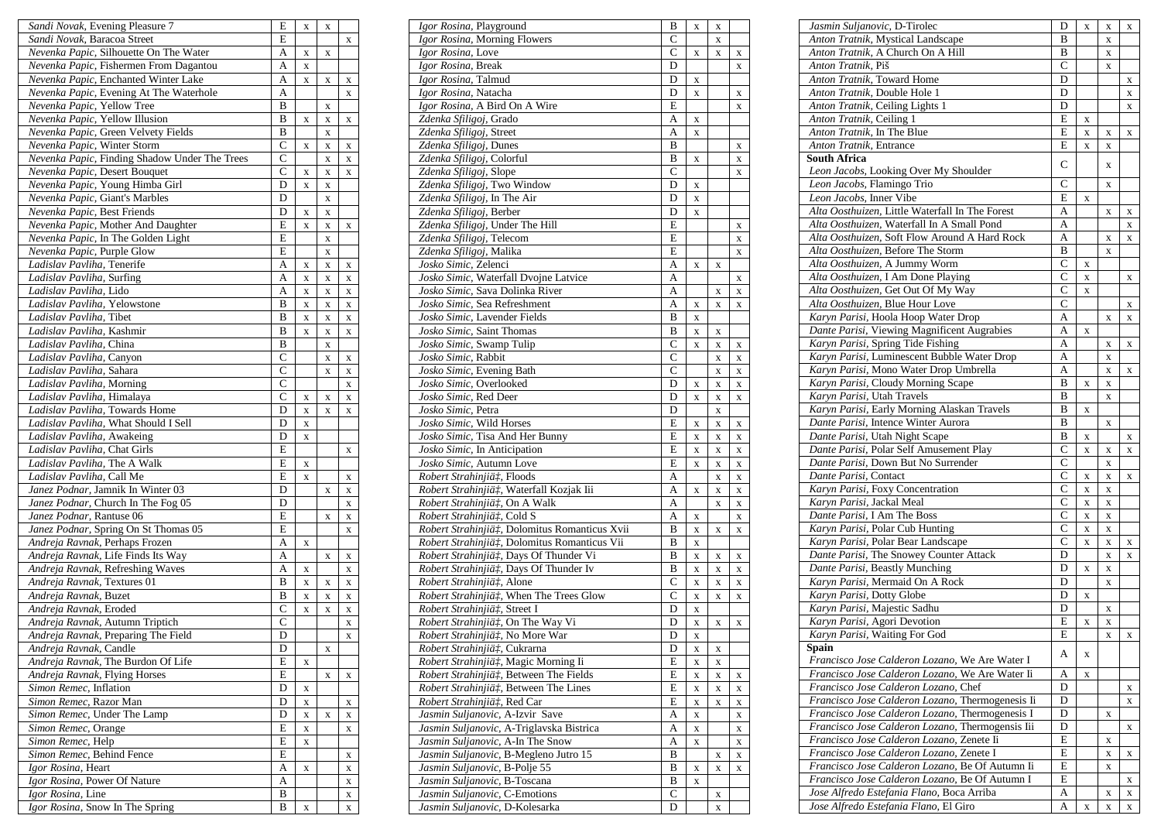| Sandi Novak, Evening Pleasure 7                                  | E                   | X      | X           |             |
|------------------------------------------------------------------|---------------------|--------|-------------|-------------|
| Sandi Novak, Baracoa Street                                      | E                   |        |             | X           |
| Nevenka Papic, Silhouette On The Water                           | A                   | X      | X           |             |
| Nevenka Papic, Fishermen From Dagantou                           | A                   | X      |             |             |
| Nevenka Papic, Enchanted Winter Lake                             | A                   | X      | X           | x           |
| Nevenka Papic, Evening At The Waterhole                          | A                   |        |             | X           |
| Nevenka Papic, Yellow Tree                                       | B                   |        | X           |             |
| Nevenka Papic, Yellow Illusion                                   | B                   | X      | X           | X           |
| Nevenka Papic, Green Velvety Fields                              | B                   |        | X           |             |
| Nevenka Papic, Winter Storm                                      | $\overline{C}$      | X      | X           | x           |
| Nevenka Papic, Finding Shadow Under The Trees                    | $\mathsf{C}$        |        | X           | X           |
| Nevenka Papic, Desert Bouquet                                    | $\mathsf{C}$        | X      | X           | x           |
| Nevenka Papic, Young Himba Girl                                  | D                   | X      | X           |             |
| Nevenka Papic, Giant's Marbles                                   | D<br>D              |        | X           |             |
| Nevenka Papic, Best Friends                                      |                     | X      | $\mathbf X$ |             |
| Nevenka Papic, Mother And Daughter                               | E<br>E              | X      | X           | x           |
| Nevenka Papic, In The Golden Light<br>Nevenka Papic, Purple Glow | E                   |        | X           |             |
|                                                                  | A                   |        | X           |             |
| Ladislav Pavliha, Tenerife<br>Ladislav Pavliha, Surfing          | A                   | X      | X           | X           |
| Ladislav Pavliha, Lido                                           | A                   | X<br>X | X<br>X      | X           |
| Ladislav Pavliha, Yelowstone                                     | B                   |        |             | x           |
| Ladislav Pavliha, Tibet                                          | B                   | X<br>X | X<br>X      | x           |
| Ladislav Pavliha, Kashmir                                        | B                   | X      | X           | X<br>X      |
| Ladislav Pavliha, China                                          | B                   |        | X           |             |
| Ladislav Pavliha, Canyon                                         | $\overline{C}$      |        | X           | X           |
| Ladislav Pavliha, Sahara                                         | $\overline{C}$      |        | X           | X           |
| Ladislav Pavliha, Morning                                        | $\overline{C}$      |        |             | X           |
| Ladislav Pavliha, Himalaya                                       | C                   | X      | X           | X           |
| Ladislav Pavliha, Towards Home                                   | D                   | X      | X           | X           |
| Ladislav Pavliha, What Should I Sell                             | D                   | X      |             |             |
| Ladislav Pavliha, Awakeing                                       | D                   | X      |             |             |
| Ladislav Pavliha, Chat Girls                                     | E                   |        |             | x           |
| Ladislav Pavliha, The A Walk                                     | E                   | X      |             |             |
| Ladislav Pavliha, Call Me                                        | E                   | X      |             | X           |
| Janez Podnar, Jamnik In Winter 03                                | D                   |        | X           | X           |
| Janez Podnar, Church In The Fog 05                               | D                   |        |             | x           |
| Janez Podnar, Rantuse 06                                         | E                   |        | X           | X           |
| Janez Podnar, Spring On St Thomas 05                             | E                   |        |             | X           |
| Andreja Ravnak, Perhaps Frozen                                   | A                   | X      |             |             |
| Andreja Ravnak, Life Finds Its Way                               | A                   |        | X           | X           |
| Andreja Ravnak, Refreshing Waves                                 | A                   | X      |             | X           |
| Andreja Ravnak, Textures 01                                      | B                   | X      | X           | X           |
| Andreja Ravnak, Buzet                                            | B                   | X      | X           | X           |
| Andreja Ravnak, Eroded                                           | C<br>$\overline{C}$ | X      | $\mathbf X$ | $\mathbf X$ |
| Andreja Ravnak, Autumn Triptich                                  |                     |        |             | X           |
| Andreja Ravnak, Preparing The Field                              | D<br>D              |        |             | X           |
| Andreja Ravnak, Candle<br>Andreja Ravnak, The Burdon Of Life     | E                   |        | X           |             |
|                                                                  | E                   | X      |             |             |
| Andreja Ravnak, Flying Horses<br>Simon Remec, Inflation          | D                   | X      | X           | X           |
| Simon Remec, Razor Man                                           | D                   | X      |             | x           |
| Simon Remec, Under The Lamp                                      | D                   | X      | X           | X           |
| Simon Remec, Orange                                              | E                   | X      |             | X           |
| Simon Remec, Help                                                | E                   | X      |             |             |
| Simon Remec, Behind Fence                                        | E                   |        |             | x           |
| Igor Rosina, Heart                                               | A                   | X      |             | X           |
| Igor Rosina, Power Of Nature                                     | А                   |        |             | X           |
| Igor Rosina, Line                                                | B                   |        |             | X           |
| Igor Rosina, Snow In The Spring                                  | B                   | X      |             | $\mathbf X$ |

| <i>Igor Rosina</i> , Playground               | В                   | X           | X |             |
|-----------------------------------------------|---------------------|-------------|---|-------------|
| Igor Rosina, Morning Flowers                  | C                   |             | X |             |
| Igor Rosina, Love                             | C                   | X           | X | X           |
| Igor Rosina, Break                            | D                   |             |   | X           |
| Igor Rosina, Talmud                           | D                   | X           |   |             |
| Igor Rosina, Natacha                          | D                   | X           |   | X           |
| Igor Rosina, A Bird On A Wire                 | E                   |             |   | X           |
| Zdenka Sfiligoj, Grado                        | A                   | X           |   |             |
| Zdenka Sfiligoj, Street                       | А                   | X           |   |             |
| Zdenka Sfiligoj, Dunes                        | B                   |             |   | X           |
| Zdenka Sfiligoj, Colorful                     | B                   | X           |   | X           |
| Zdenka Sfiligoj, Slope                        | $\overline{C}$      |             |   | X           |
| Zdenka Sfiligoj, Two Window                   | D                   | X           |   |             |
| Zdenka Sfiligoj, In The Air                   | D                   | X           |   |             |
| Zdenka Sfiligoj, Berber                       | D                   | X           |   |             |
| Zdenka Sfiligoj, Under The Hill               | E                   |             |   | X           |
| Zdenka Sfiligoj, Telecom                      | E                   |             |   | X           |
| Zdenka Sfiligoj, Malika                       | E                   |             |   | X           |
| Josko Simic, Zelenci                          | A                   | X           | X |             |
| Josko Simic, Waterfall Dvojne Latvice         | A                   |             |   |             |
| Josko Simic, Sava Dolinka River               | A                   |             |   | X           |
| Josko Simic, Sea Refreshment                  |                     |             | X | X           |
|                                               | A                   | X           | X | X           |
| Josko Simic, Lavender Fields                  | B                   | X           |   |             |
| Josko Simic, Saint Thomas                     | B<br>$\overline{C}$ | X           | X |             |
| Josko Simic, Swamp Tulip                      |                     | $\mathbf X$ | X | X           |
| Josko Simic, Rabbit                           | $\mathsf{C}$        |             | X | X           |
| Josko Simic, Evening Bath                     | $\mathcal{C}$       |             | X | X           |
| Josko Simic, Overlooked                       | D                   | X           | X | X           |
| Josko Simic, Red Deer                         | D                   | X           | X | X           |
| Josko Simic, Petra                            | D                   |             | X |             |
| Josko Simic, Wild Horses                      | E                   | X           | X | X           |
| Josko Simic, Tisa And Her Bunny               | E                   | X           | X | X           |
| Josko Simic, In Anticipation                  | $\overline{E}$      | X           | X | X           |
| Josko Simic, Autumn Love                      | E                   | X           | X | X           |
| Robert Strahinjiä‡, Floods                    | А                   |             | X | X           |
| Robert Strahinjiä‡, Waterfall Kozjak Iii      | A                   | X           | X | X           |
| Robert Strahinjiä‡, On A Walk                 | A                   |             | X | X           |
| Robert Strahinjiä‡, Cold S                    | A                   | X           |   | X           |
| Robert Strahinjiä#, Dolomitus Romanticus Xvii | В                   | X           | X | X           |
| Robert Strahinjiä#, Dolomitus Romanticus Vii  | B                   | X           |   |             |
| Robert Strahinjiät, Days Of Thunder Vi        | B                   | X           | X | X           |
| Robert Strahinjiä#, Days Of Thunder Iv        | B                   | X           | X | X           |
| Robert Strahinjiä‡, Alone                     | $\overline{C}$      | X           | X | X           |
| Robert Strahinjiä#, When The Trees Glow       | C                   | X           | X | X           |
| Robert Strahinjiä‡, Street I                  | D                   | X           |   |             |
| Robert Strahinjiä‡, On The Way Vi             | D                   | X           | X | x           |
| <i>Robert Strahinjiä‡</i> , No More War       | D                   | X           |   |             |
| Robert Strahinjiä‡, Cukrarna                  | D                   | X           | X |             |
| Robert Strahinjiä‡, Magic Morning Ii          | E                   | X           | X |             |
| Robert Strahinjiä‡, Between The Fields        | E                   | X           | X | x           |
| Robert Strahinjiä#, Between The Lines         | E                   | $\mathbf X$ | X | X           |
| Robert Strahinjiä‡, Red Car                   | Е                   | X           | X | X           |
| Jasmin Suljanovic, A-Izvir Save               | A                   | X           |   | X           |
| Jasmin Suljanovic, A-Triglavska Bistrica      | А                   | $\mathbf X$ |   | x           |
| Jasmin Suljanovic, A-In The Snow              | А                   | X           |   | x           |
| Jasmin Suljanovic, B-Megleno Jutro 15         | B                   |             | X | X           |
| Jasmin Suljanovic, B-Polje 55                 | B                   | X           | X | $\mathbf X$ |
| Jasmin Suljanovic, B-Toscana                  | B                   | X           |   |             |
| Jasmin Suljanovic, C-Emotions                 | $\mathcal{C}$       |             | X |             |
| Jasmin Suljanovic, D-Kolesarka                | D                   |             | X |             |
|                                               |                     |             |   |             |

| Jasmin Suljanovic, D-Tirolec                     | D              | $\mathbf X$ | X | X |
|--------------------------------------------------|----------------|-------------|---|---|
| Anton Tratnik, Mystical Landscape                | B              |             | X |   |
| Anton Tratnik, A Church On A Hill                | B              |             | X |   |
| Anton Tratnik, Piš                               | $\overline{C}$ |             | X |   |
| Anton Tratnik, Toward Home                       | D              |             |   | X |
| Anton Tratnik, Double Hole 1                     | D              |             |   | X |
| Anton Tratnik, Ceiling Lights 1                  | D              |             |   | X |
| Anton Tratnik, Ceiling 1                         | $\overline{E}$ | $\mathbf X$ |   |   |
| Anton Tratnik, In The Blue                       | $\overline{E}$ | $\mathbf X$ | X | X |
| Anton Tratnik, Entrance                          | E              | $\mathbf X$ | X |   |
| <b>South Africa</b>                              |                |             |   |   |
| Leon Jacobs, Looking Over My Shoulder            | C              |             | X |   |
| Leon Jacobs, Flamingo Trio                       | $\overline{C}$ |             | X |   |
| Leon Jacobs, Inner Vibe                          | E              | X           |   |   |
| Alta Oosthuizen, Little Waterfall In The Forest  | A              |             | X | X |
| Alta Oosthuizen, Waterfall In A Small Pond       | A              |             |   |   |
| Alta Oosthuizen, Soft Flow Around A Hard Rock    | A              |             |   | X |
|                                                  |                |             | X | X |
| Alta Oosthuizen, Before The Storm                | B              |             | X |   |
| Alta Oosthuizen, A Jummy Worm                    | $\mathsf{C}$   | X           |   |   |
| Alta Oosthuizen, I Am Done Playing               | $\mathsf{C}$   | X           |   | X |
| Alta Oosthuizen, Get Out Of My Way               | C              | X           |   |   |
| Alta Oosthuizen, Blue Hour Love                  | C              |             |   | X |
| Karyn Parisi, Hoola Hoop Water Drop              | A              |             | X | X |
| Dante Parisi, Viewing Magnificent Augrabies      | A              | X           |   |   |
| Karyn Parisi, Spring Tide Fishing                | A              |             | X | X |
| Karyn Parisi, Luminescent Bubble Water Drop      | A              |             | X |   |
| Karyn Parisi, Mono Water Drop Umbrella           | A              |             | X | X |
| Karyn Parisi, Cloudy Morning Scape               | B              | X           | X |   |
| Karyn Parisi, Utah Travels                       | B              |             | X |   |
| Karyn Parisi, Early Morning Alaskan Travels      | B              | X           |   |   |
| Dante Parisi, Intence Winter Aurora              | B              |             | X |   |
| Dante Parisi, Utah Night Scape                   | B              | $\mathbf X$ |   | X |
| Dante Parisi, Polar Self Amusement Play          | C              | X           | X | X |
| Dante Parisi, Down But No Surrender              | C              |             | X |   |
| Dante Parisi, Contact                            | C              |             | X |   |
| Karyn Parisi, Foxy Concentration                 | $\mathbf C$    | $\mathbf X$ |   | X |
| Karyn Parisi, Jackal Meal                        | $\mathsf{C}$   | $\mathbf X$ | X |   |
|                                                  |                | X           | X |   |
| Dante Parisi, I Am The Boss                      | $\mathsf{C}$   | X           | X |   |
| Karyn Parisi, Polar Cub Hunting                  | C              | X           | X |   |
| Karyn Parisi, Polar Bear Landscape               | $\overline{C}$ | $\mathbf X$ | X | X |
| Dante Parisi, The Snowey Counter Attack          | D              |             | X | X |
| Dante Parisi, Beastly Munching                   | D              | X           | X |   |
| Karyn Parisi, Mermaid On A Rock                  | D              |             | X |   |
| Karyn Parisi, Dotty Globe                        | D              | $\mathbf X$ |   |   |
| Karyn Parisi, Majestic Sadhu                     | D              |             | X |   |
| Karyn Parisi, Agori Devotion                     | E              | X           | X |   |
| Karyn Parisi, Waiting For God                    | E              |             | x | х |
| Spain                                            |                |             |   |   |
| Francisco Jose Calderon Lozano, We Are Water I   | A              | X           |   |   |
| Francisco Jose Calderon Lozano, We Are Water Ii  | Α              | X           |   |   |
| Francisco Jose Calderon Lozano, Chef             | D              |             |   | X |
| Francisco Jose Calderon Lozano, Thermogenesis Ii | D              |             |   | X |
| Francisco Jose Calderon Lozano, Thermogenesis I  | D              |             | X |   |
| Francisco Jose Calderon Lozano, Thermogensis Iii | D              |             |   | X |
| Francisco Jose Calderon Lozano, Zenete Ii        | E              |             | X |   |
| Francisco Jose Calderon Lozano, Zenete I         | E              |             | X |   |
|                                                  |                |             |   | X |
| Francisco Jose Calderon Lozano, Be Of Autumn Ii  | E              |             | X |   |
| Francisco Jose Calderon Lozano, Be Of Autumn I   | E              |             |   | X |
| Jose Alfredo Estefania Flano, Boca Arriba        | Α              |             | X | X |
| Jose Alfredo Estefania Flano, El Giro            | А              | X           | X | X |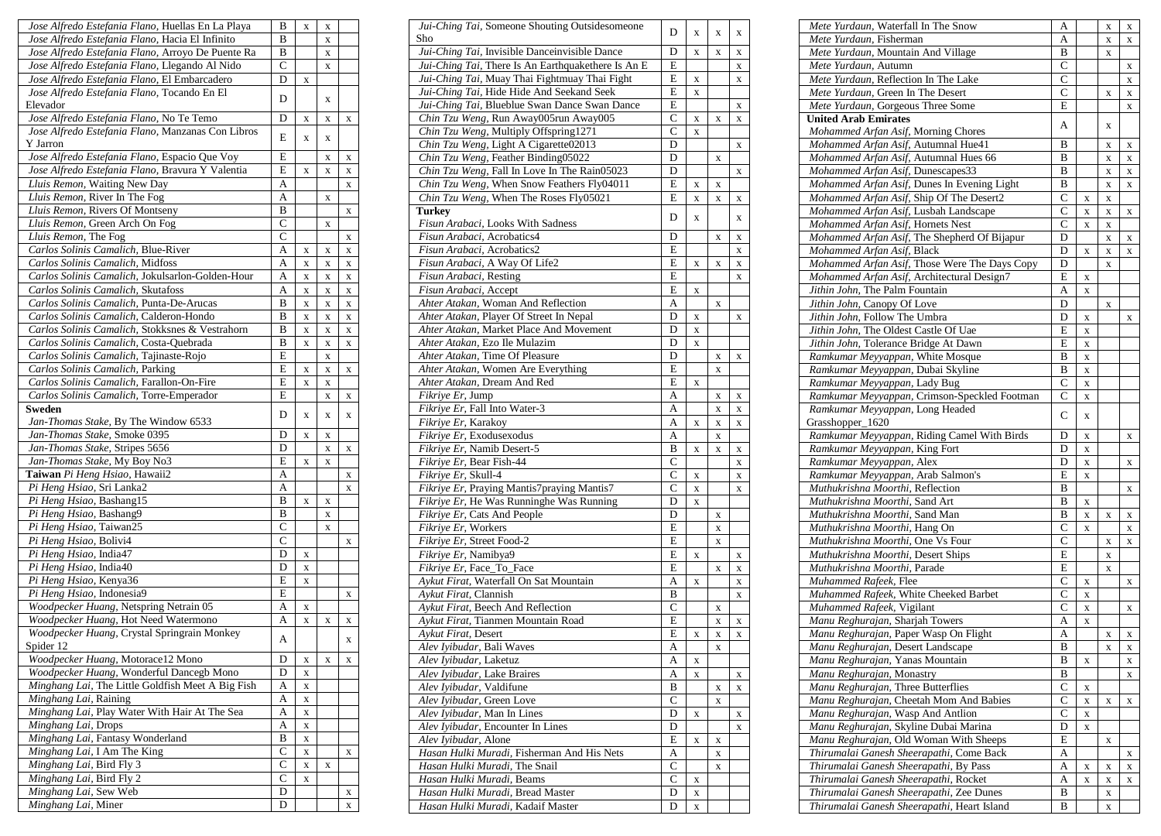| Jose Alfredo Estefania Flano, Huellas En La Playa             | B            | X           | X |             |
|---------------------------------------------------------------|--------------|-------------|---|-------------|
| Jose Alfredo Estefania Flano, Hacia El Infinito               | в            |             | X |             |
| Jose Alfredo Estefania Flano, Arroyo De Puente Ra             | B            |             | X |             |
| Jose Alfredo Estefania Flano, Llegando Al Nido                | C            |             | X |             |
| Jose Alfredo Estefania Flano, El Embarcadero                  | D            | X           |   |             |
| Jose Alfredo Estefania Flano, Tocando En El<br>Elevador       | D            |             | X |             |
| Jose Alfredo Estefania Flano, No Te Temo                      | D            | X           | X | X           |
| Jose Alfredo Estefania Flano, Manzanas Con Libros<br>Y Jarron | E            | X           | X |             |
| Jose Alfredo Estefania Flano, Espacio Que Voy                 | E            |             | X | X           |
| Jose Alfredo Estefania Flano, Bravura Y Valentia              | E            | X           | X | X           |
| Lluis Remon, Waiting New Day                                  | A            |             |   | X           |
| Lluis Remon, River In The Fog                                 | A            |             | X |             |
| Lluis Remon, Rivers Of Montseny                               | B            |             |   | X           |
| Lluis Remon, Green Arch On Fog                                | C            |             | X |             |
| Lluis Remon, The Fog                                          | $\mathsf{C}$ |             |   | $\mathbf X$ |
| Carlos Solinis Camalich, Blue-River                           | A            | X           | X | X           |
| Carlos Solinis Camalich, Midfoss                              | A            | X           | X | X           |
| Carlos Solinis Camalich, Jokulsarlon-Golden-Hour              | A            | X           | X | X           |
| Carlos Solinis Camalich, Skutafoss                            | A            | X           | X | X           |
| Carlos Solinis Camalich, Punta-De-Arucas                      | B            |             |   |             |
|                                                               | B            | X           | X | X           |
| Carlos Solinis Camalich, Calderon-Hondo                       |              | X           | X | X           |
| Carlos Solinis Camalich, Stokksnes & Vestrahorn               | B            | X           | X | X           |
| Carlos Solinis Camalich, Costa-Quebrada                       | B            | X           | X | X           |
| Carlos Solinis Camalich, Tajinaste-Rojo                       | E            |             | X |             |
| Carlos Solinis Camalich, Parking                              | E            | X           | X | X           |
| Carlos Solinis Camalich, Farallon-On-Fire                     | E            | X           | X |             |
| Carlos Solinis Camalich, Torre-Emperador                      | E            |             | X | X           |
| <b>Sweden</b><br>Jan-Thomas Stake, By The Window 6533         | D            | X           | X | X           |
| Jan-Thomas Stake, Smoke 0395                                  | D            | X           | X |             |
| Jan-Thomas Stake, Stripes 5656                                | D            |             | X | X           |
| Jan-Thomas Stake, My Boy No3                                  | E            | X           | X |             |
| Taiwan Pi Heng Hsiao, Hawaii2                                 | A            |             |   | X           |
| Pi Heng Hsiao, Sri Lanka2                                     | A            |             |   | X           |
| Pi Heng Hsiao, Bashang15                                      | B            | X           | X |             |
| Pi Heng Hsiao, Bashang9                                       | B            |             | X |             |
| Pi Heng Hsiao, Taiwan25                                       | С            |             | X |             |
| Pi Heng Hsiao, Bolivi4                                        | C            |             |   | X           |
| Pi Heng Hsiao, India47                                        | D            | X           |   |             |
| Pi Heng Hsiao, India40                                        | D            | X           |   |             |
| Pi Heng Hsiao, Kenya36                                        | E            | X           |   |             |
| Pi Heng Hsiao, Indonesia9                                     | E            |             |   | X           |
| Woodpecker Huang, Netspring Netrain 05                        | A            | X           |   |             |
| Woodpecker Huang, Hot Need Watermono                          | A            | X           | X | X           |
| Woodpecker Huang, Crystal Springrain Monkey                   | А            |             |   | $\mathbf X$ |
| Spider 12                                                     |              |             |   |             |
| Woodpecker Huang, Motorace12 Mono                             | D            | X           | X | $\mathbf X$ |
| Woodpecker Huang, Wonderful Dancegb Mono                      | D            | X           |   |             |
| Minghang Lai, The Little Goldfish Meet A Big Fish             | A            | $\mathbf X$ |   |             |
| Minghang Lai, Raining                                         | Α            | X           |   |             |
| Minghang Lai, Play Water With Hair At The Sea                 | A            | X           |   |             |
| Minghang Lai, Drops                                           | A            | X           |   |             |
| Minghang Lai, Fantasy Wonderland                              | B            | X           |   |             |
| Minghang Lai, I Am The King                                   | $\mathsf{C}$ | X           |   | $\mathbf X$ |
| Minghang Lai, Bird Fly 3                                      | C            | $\mathbf X$ | X |             |
| Minghang Lai, Bird Fly 2                                      | С            | X           |   |             |
| Minghang Lai, Sew Web                                         | D            |             |   | X           |
| Minghang Lai, Miner                                           | D            |             |   | $\mathbf X$ |

| Jui-Ching Tai, Someone Shouting Outsidesomeone<br>Sho | D                  | X           | X | X           |
|-------------------------------------------------------|--------------------|-------------|---|-------------|
| Jui-Ching Tai, Invisible Danceinvisible Dance         | D                  | X           | X | x           |
| Jui-Ching Tai, There Is An Earthquakethere Is An E    | E                  |             |   | X           |
| Jui-Ching Tai, Muay Thai Fightmuay Thai Fight         | E                  | X           |   | X           |
| Jui-Ching Tai, Hide Hide And Seekand Seek             | E                  | X           |   |             |
| Jui-Ching Tai, Blueblue Swan Dance Swan Dance         | E                  |             |   | X           |
| Chin Tzu Weng, Run Away005run Away005                 | $\overline{C}$     | X           | X | X           |
| Chin Tzu Weng, Multiply Offspring1271                 | C                  | X           |   |             |
| Chin Tzu Weng, Light A Cigarette02013                 | D                  |             |   | X           |
| Chin Tzu Weng, Feather Binding05022                   | D                  |             | X |             |
| Chin Tzu Weng, Fall In Love In The Rain05023          | D                  |             |   | x           |
| Chin Tzu Weng, When Snow Feathers Fly04011            | E                  | X           | X |             |
| Chin Tzu Weng, When The Roses Fly05021                | E                  | X           | X | X           |
| <b>Turkey</b>                                         | D                  | X           |   | X           |
| Fisun Arabaci, Looks With Sadness                     |                    |             |   |             |
| Fisun Arabaci, Acrobatics4                            | D                  |             | X | X           |
| Fisun Arabaci, Acrobatics2                            | E                  |             |   | X           |
| Fisun Arabaci, A Way Of Life2                         | E                  | X           | X | $\mathbf X$ |
| Fisun Arabaci, Resting                                | $\overline{E}$     |             |   | X           |
| Fisun Arabaci, Accept                                 | E                  | X           |   |             |
| Ahter Atakan, Woman And Reflection                    | Α                  |             | X |             |
| Ahter Atakan, Player Of Street In Nepal               | D                  | X           |   | x           |
| Ahter Atakan, Market Place And Movement               | D                  | $\mathbf X$ |   |             |
| Ahter Atakan, Ezo Ile Mulazim                         | D                  | X           |   |             |
| Ahter Atakan, Time Of Pleasure                        | D                  |             | X | X           |
| Ahter Atakan, Women Are Everything                    | E                  |             | X |             |
| Ahter Atakan, Dream And Red                           | E                  | X           |   |             |
| Fikriye Er, Jump                                      | A                  |             | X | X           |
| Fikriye Er, Fall Into Water-3                         | А                  |             | X | X           |
| Fikriye Er, Karakoy                                   | A                  | X           | X | X           |
| Fikriye Er, Exodusexodus                              | A                  |             | X |             |
| Fikriye Er, Namib Desert-5                            | B                  | X           | X | X           |
| Fikriye Er, Bear Fish-44                              | $\overline{\rm c}$ |             |   | X           |
| Fikriye Er, Skull-4                                   | $\overline{C}$     | X           |   | $\mathbf x$ |
| Fikriye Er, Praying Mantis7praying Mantis7            | C                  | X           |   | X           |
| Fikriye Er, He Was Runninghe Was Running              | D                  | X           |   |             |
| Fikriye Er, Cats And People                           | D                  |             | X |             |
| Fikriye Er, Workers                                   | E                  |             | X |             |
| Fikriye Er, Street Food-2                             | E                  |             | X |             |
| Fikriye Er, Namibya9                                  | E                  | X           |   | x           |
| Fikriye Er, Face_To_Face                              | E                  |             | X | x           |
| Aykut Firat, Waterfall On Sat Mountain                | Α                  | X           |   | X           |
| Aykut Firat, Clannish                                 | B                  |             |   | X           |
| Aykut Firat, Beech And Reflection                     | $\mathsf{C}$       |             | X |             |
| Aykut Firat, Tianmen Mountain Road                    | E                  |             | X | X           |
| Aykut Firat, Desert                                   | Е                  | X           | X | X           |
| Alev Iyibudar, Bali Waves                             | A                  |             | X |             |
| Alev Ivibudar, Laketuz                                | А                  | X           |   |             |
| Alev Iyibudar, Lake Braires                           | А                  | X           |   | X           |
| Alev Iyibudar, Valdifune                              | B                  |             | X | X           |
| Alev Ivibudar, Green Love                             | C                  |             | X |             |
| Alev Iyibudar, Man In Lines                           | D                  | X           |   | x           |
| Alev Ivibudar, Encounter In Lines                     | D                  |             |   | X           |
| Alev Iyibudar, Alone                                  | E                  | X           | X |             |
| Hasan Hulki Muradi, Fisherman And His Nets            | А                  |             | X |             |
| Hasan Hulki Muradi, The Snail                         | C                  |             | X |             |
| Hasan Hulki Muradi, Beams                             | C                  | X           |   |             |
| Hasan Hulki Muradi, Bread Master                      | D                  | X           |   |             |
| Hasan Hulki Muradi, Kadaif Master                     | D                  | $\mathbf X$ |   |             |

| Mete Yurdaun, Waterfall In The Snow           | A              |             | X           | X           |
|-----------------------------------------------|----------------|-------------|-------------|-------------|
| Mete Yurdaun, Fisherman                       | А              |             | X           | X           |
| Mete Yurdaun, Mountain And Village            | B              |             | X           |             |
| Mete Yurdaun, Autumn                          | C              |             |             | X           |
| Mete Yurdaun, Reflection In The Lake          | C              |             |             | X           |
| Mete Yurdaun, Green In The Desert             | C              |             | X           | X           |
| Mete Yurdaun, Gorgeous Three Some             | E              |             |             | X           |
| <b>United Arab Emirates</b>                   |                |             |             |             |
| Mohammed Arfan Asif, Morning Chores           | А              |             | X           |             |
| Mohammed Arfan Asif, Autumnal Hue41           | в              |             | X           | X           |
| Mohammed Arfan Asif, Autumnal Hues 66         | B              |             | X           | X           |
| Mohammed Arfan Asif, Dunescapes33             | B              |             | X           | X           |
| Mohammed Arfan Asif, Dunes In Evening Light   | B              |             | X           | X           |
| Mohammed Arfan Asif, Ship Of The Desert2      | C              | X           | X           |             |
| Mohammed Arfan Asif, Lusbah Landscape         | C              | X           | X           | X           |
| Mohammed Arfan Asif, Hornets Nest             | C              | X           | X           |             |
| Mohammed Arfan Asif, The Shepherd Of Bijapur  | D              |             |             |             |
|                                               |                |             | X           | X           |
| Mohammed Arfan Asif, Black                    | D              | X           | X           | X           |
| Mohammed Arfan Asif, Those Were The Days Copy | D              |             | X           |             |
| Mohammed Arfan Asif, Architectural Design7    | E              | X           |             |             |
| Jithin John, The Palm Fountain                | А              | X           |             |             |
| Jithin John, Canopy Of Love                   | D              |             | X           |             |
| Jithin John, Follow The Umbra                 | D              | x           |             | X           |
| Jithin John, The Oldest Castle Of Uae         | E              | $\mathbf X$ |             |             |
| Jithin John, Tolerance Bridge At Dawn         | E              | X           |             |             |
| Ramkumar Meyyappan, White Mosque              | B              | X           |             |             |
| Ramkumar Meyyappan, Dubai Skyline             | B              | $\mathbf X$ |             |             |
| Ramkumar Meyyappan, Lady Bug                  | С              | X           |             |             |
| Ramkumar Meyyappan, Crimson-Speckled Footman  | C              | $\mathbf X$ |             |             |
| Ramkumar Meyyappan, Long Headed               |                |             |             |             |
| Grasshopper_1620                              | C              | X           |             |             |
| Ramkumar Meyyappan, Riding Camel With Birds   | D              | X           |             | X           |
| Ramkumar Meyyappan, King Fort                 | D              | X           |             |             |
| Ramkumar Meyyappan, Alex                      | D              | $\mathbf x$ |             | X           |
| Ramkumar Meyyappan, Arab Salmon's             | E              | X           |             |             |
| Muthukrishna Moorthi, Reflection              | B              |             |             | X           |
| Muthukrishna Moorthi, Sand Art                | B              | X           |             |             |
| Muthukrishna Moorthi, Sand Man                | B              | X           | X           | X           |
| Muthukrishna Moorthi, Hang On                 | C              | X           |             | X           |
| Muthukrishna Moorthi, One Vs Four             | C              |             | X           | X           |
| Muthukrishna Moorthi, Desert Ships            | E              |             | X           |             |
| Muthukrishna Moorthi, Parade                  | E              |             | X           |             |
| Muhammed Rafeek, Flee                         | С              |             |             |             |
| Muhammed Rafeek, White Cheeked Barbet         | C              | X           |             | X           |
|                                               |                | X           |             |             |
| Muhammed Rafeek, Vigilant                     | С              | X           |             | X           |
| Manu Reghurajan, Sharjah Towers               | A              | X           |             |             |
| Manu Reghurajan, Paper Wasp On Flight         | A              |             | X           | $\mathbf X$ |
| Manu Reghurajan, Desert Landscape             | B              |             | X           | X           |
| Manu Reghurajan, Yanas Mountain               | B              | X           |             | X           |
| Manu Reghurajan, Monastry                     | B              |             |             | X           |
| Manu Reghurajan, Three Butterflies            | С              | x           |             |             |
| Manu Reghurajan, Cheetah Mom And Babies       | $\overline{C}$ | X           | X           | X           |
| Manu Reghurajan, Wasp And Antlion             | C              | $\mathbf X$ |             |             |
| Manu Reghurajan, Skyline Dubai Marina         | D              | X           |             |             |
| Manu Reghurajan, Old Woman With Sheeps        | E              |             | X           |             |
| Thirumalai Ganesh Sheerapathi, Come Back      | A              |             |             | X           |
| Thirumalai Ganesh Sheerapathi, By Pass        | A              | X           | X           | X           |
| Thirumalai Ganesh Sheerapathi, Rocket         | A              | $\mathbf X$ | $\mathbf X$ | X           |
| Thirumalai Ganesh Sheerapathi, Zee Dunes      | B              |             | X           |             |
| Thirumalai Ganesh Sheerapathi, Heart Island   | B              |             | $\mathbf X$ |             |
|                                               |                |             |             |             |